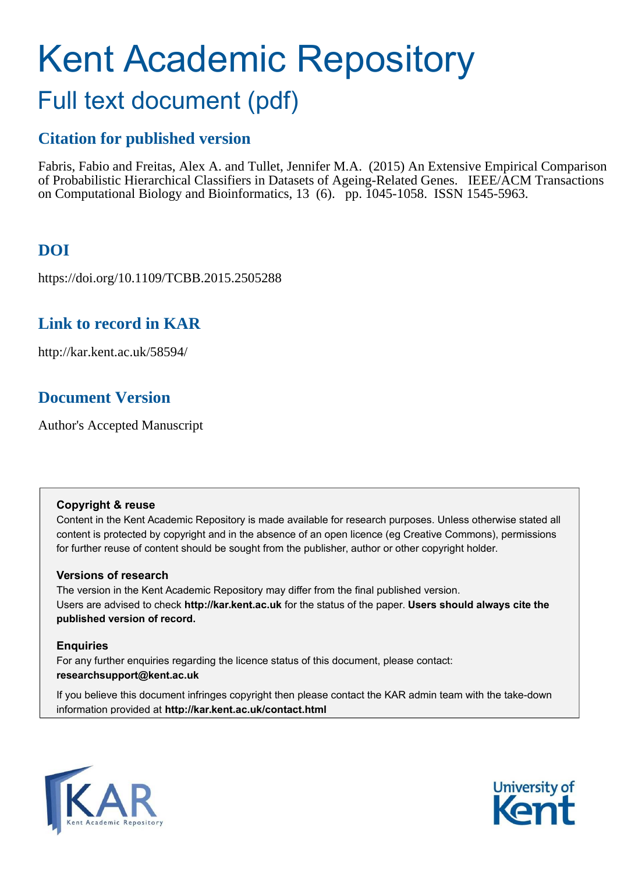# Kent Academic Repository Full text document (pdf)

### **Citation for published version**

Fabris, Fabio and Freitas, Alex A. and Tullet, Jennifer M.A. (2015) An Extensive Empirical Comparison of Probabilistic Hierarchical Classifiers in Datasets of Ageing-Related Genes. IEEE/ACM Transactions on Computational Biology and Bioinformatics, 13 (6). pp. 1045-1058. ISSN 1545-5963.

### **DOI**

https://doi.org/10.1109/TCBB.2015.2505288

### **Link to record in KAR**

http://kar.kent.ac.uk/58594/

### **Document Version**

Author's Accepted Manuscript

### **Copyright & reuse**

Content in the Kent Academic Repository is made available for research purposes. Unless otherwise stated all content is protected by copyright and in the absence of an open licence (eg Creative Commons), permissions for further reuse of content should be sought from the publisher, author or other copyright holder.

### **Versions of research**

The version in the Kent Academic Repository may differ from the final published version. Users are advised to check **http://kar.kent.ac.uk** for the status of the paper. **Users should always cite the published version of record.**

### **Enquiries**

For any further enquiries regarding the licence status of this document, please contact: **researchsupport@kent.ac.uk**

If you believe this document infringes copyright then please contact the KAR admin team with the take-down information provided at **http://kar.kent.ac.uk/contact.html**



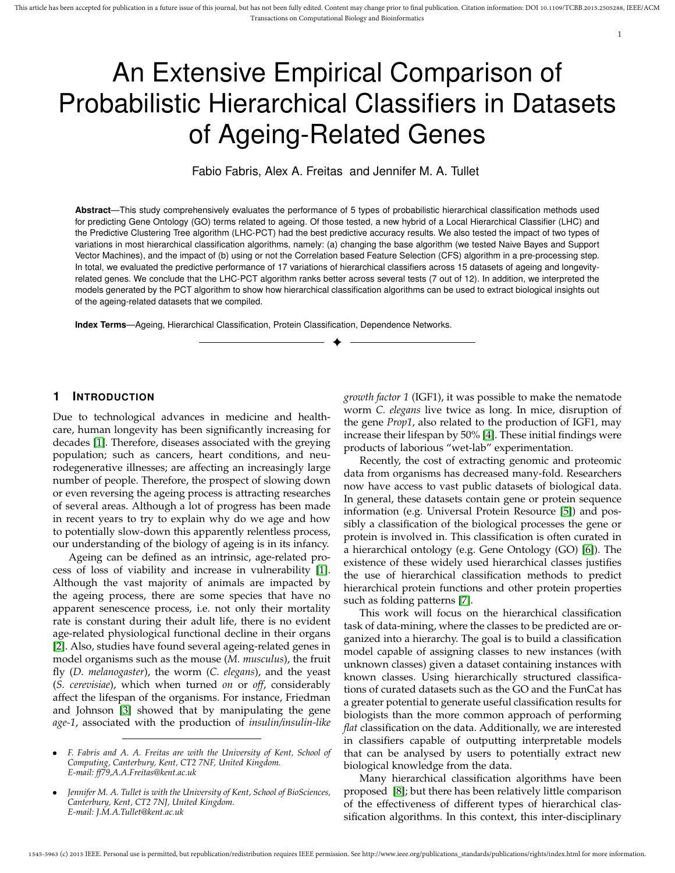## An Extensive Empirical Comparison of Probabilistic Hierarchical Classifiers in Datasets of Ageing-Related Genes

Fabio Fabris, Alex A. Freitas and Jennifer M. A. Tullet

**Abstract**—This study comprehensively evaluates the performance of 5 types of probabilistic hierarchical classification methods used for predicting Gene Ontology (GO) terms related to ageing. Of those tested, a new hybrid of a Local Hierarchical Classifier (LHC) and the Predictive Clustering Tree algorithm (LHC-PCT) had the best predictive accuracy results. We also tested the impact of two types of variations in most hierarchical classification algorithms, namely: (a) changing the base algorithm (we tested Naive Bayes and Support Vector Machines), and the impact of (b) using or not the Correlation based Feature Selection (CFS) algorithm in a pre-processing step. In total, we evaluated the predictive performance of 17 variations of hierarchical classifiers across 15 datasets of ageing and longevityrelated genes. We conclude that the LHC-PCT algorithm ranks better across several tests (7 out of 12). In addition, we interpreted the models generated by the PCT algorithm to show how hierarchical classification algorithms can be used to extract biological insights out of the ageing-related datasets that we compiled.

✦

**Index Terms**—Ageing, Hierarchical Classification, Protein Classification, Dependence Networks.

#### **1 INTRODUCTION**

Due to technological advances in medicine and healthcare, human longevity has been significantly increasing for decades [1]. Therefore, diseases associated with the greying population; such as cancers, heart conditions, and neurodegenerative illnesses; are affecting an increasingly large number of people. Therefore, the prospect of slowing down or even reversing the ageing process is attracting researches of several areas. Although a lot of progress has been made in recent years to try to explain why do we age and how to potentially slow-down this apparently relentless process, our understanding of the biology of ageing is in its infancy.

Ageing can be defined as an intrinsic, age-related process of loss of viability and increase in vulnerability [1]. Although the vast majority of animals are impacted by the ageing process, there are some species that have no apparent senescence process, i.e. not only their mortality rate is constant during their adult life, there is no evident age-related physiological functional decline in their organs [2]. Also, studies have found several ageing-related genes in model organisms such as the mouse (*M. musculus*), the fruit fly (*D. melanogaster*), the worm (*C. elegans*), and the yeast (*S. cerevisiae*), which when turned *on* or *off*, considerably affect the lifespan of the organisms. For instance, Friedman and Johnson [3] showed that by manipulating the gene *age-1*, associated with the production of *insulin/insulin-like*

*growth factor 1* (IGF1), it was possible to make the nematode worm *C. elegans* live twice as long. In mice, disruption of the gene *Prop1*, also related to the production of IGF1, may increase their lifespan by 50% [4]. These initial findings were products of laborious "wet-lab" experimentation.

Recently, the cost of extracting genomic and proteomic data from organisms has decreased many-fold. Researchers now have access to vast public datasets of biological data. In general, these datasets contain gene or protein sequence information (e.g. Universal Protein Resource [5]) and possibly a classification of the biological processes the gene or protein is involved in. This classification is often curated in a hierarchical ontology (e.g. Gene Ontology (GO) [6]). The existence of these widely used hierarchical classes justifies the use of hierarchical classification methods to predict hierarchical protein functions and other protein properties such as folding patterns [7].

This work will focus on the hierarchical classification task of data-mining, where the classes to be predicted are organized into a hierarchy. The goal is to build a classification model capable of assigning classes to new instances (with unknown classes) given a dataset containing instances with known classes. Using hierarchically structured classifications of curated datasets such as the GO and the FunCat has a greater potential to generate useful classification results for biologists than the more common approach of performing *flat* classification on the data. Additionally, we are interested in classifiers capable of outputting interpretable models that can be analysed by users to potentially extract new biological knowledge from the data.

Many hierarchical classification algorithms have been proposed [8]; but there has been relatively little comparison of the effectiveness of different types of hierarchical classification algorithms. In this context, this inter-disciplinary

<sup>•</sup> *F. Fabris and A. A. Freitas are with the University of Kent, School of Computing, Canterbury, Kent, CT2 7NF, United Kingdom. E-mail: ff79,A.A.Freitas@kent.ac.uk*

<sup>•</sup> *Jennifer M. A. Tullet is with the University of Kent, School of BioSciences, Canterbury, Kent, CT2 7NJ, United Kingdom. E-mail: J.M.A.Tullet@kent.ac.uk*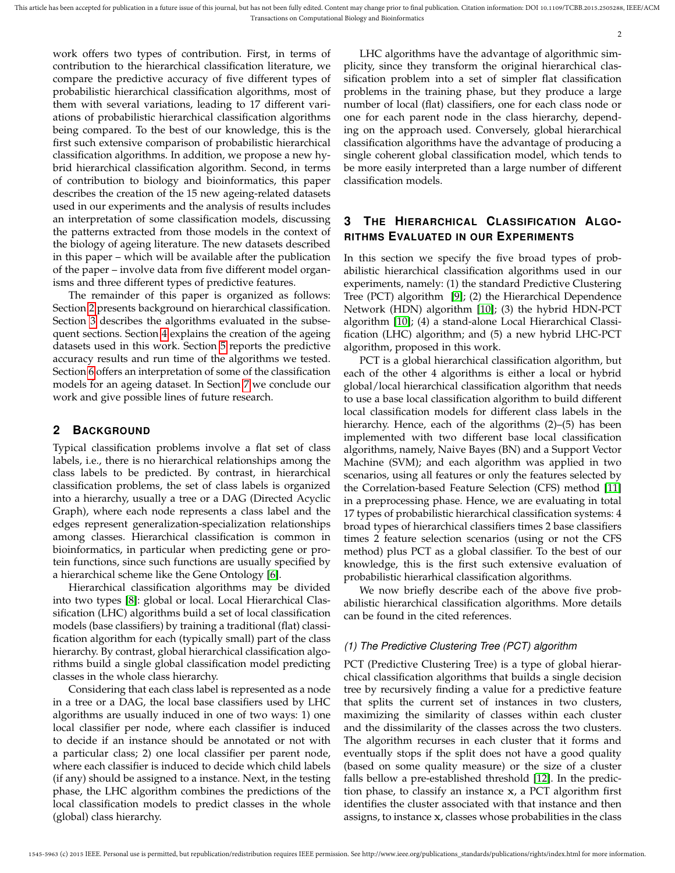work offers two types of contribution. First, in terms of contribution to the hierarchical classification literature, we compare the predictive accuracy of five different types of probabilistic hierarchical classification algorithms, most of them with several variations, leading to 17 different variations of probabilistic hierarchical classification algorithms being compared. To the best of our knowledge, this is the first such extensive comparison of probabilistic hierarchical classification algorithms. In addition, we propose a new hybrid hierarchical classification algorithm. Second, in terms of contribution to biology and bioinformatics, this paper describes the creation of the 15 new ageing-related datasets used in our experiments and the analysis of results includes an interpretation of some classification models, discussing the patterns extracted from those models in the context of the biology of ageing literature. The new datasets described in this paper – which will be available after the publication of the paper – involve data from five different model organisms and three different types of predictive features.

The remainder of this paper is organized as follows: Section 2 presents background on hierarchical classification. Section 3 describes the algorithms evaluated in the subsequent sections. Section 4 explains the creation of the ageing datasets used in this work. Section 5 reports the predictive accuracy results and run time of the algorithms we tested. Section 6 offers an interpretation of some of the classification models for an ageing dataset. In Section 7 we conclude our work and give possible lines of future research.

#### **2 BACKGROUND**

Typical classification problems involve a flat set of class labels, i.e., there is no hierarchical relationships among the class labels to be predicted. By contrast, in hierarchical classification problems, the set of class labels is organized into a hierarchy, usually a tree or a DAG (Directed Acyclic Graph), where each node represents a class label and the edges represent generalization-specialization relationships among classes. Hierarchical classification is common in bioinformatics, in particular when predicting gene or protein functions, since such functions are usually specified by a hierarchical scheme like the Gene Ontology [6].

Hierarchical classification algorithms may be divided into two types [8]: global or local. Local Hierarchical Classification (LHC) algorithms build a set of local classification models (base classifiers) by training a traditional (flat) classification algorithm for each (typically small) part of the class hierarchy. By contrast, global hierarchical classification algorithms build a single global classification model predicting classes in the whole class hierarchy.

Considering that each class label is represented as a node in a tree or a DAG, the local base classifiers used by LHC algorithms are usually induced in one of two ways: 1) one local classifier per node, where each classifier is induced to decide if an instance should be annotated or not with a particular class; 2) one local classifier per parent node, where each classifier is induced to decide which child labels (if any) should be assigned to a instance. Next, in the testing phase, the LHC algorithm combines the predictions of the local classification models to predict classes in the whole (global) class hierarchy.

LHC algorithms have the advantage of algorithmic simplicity, since they transform the original hierarchical classification problem into a set of simpler flat classification problems in the training phase, but they produce a large number of local (flat) classifiers, one for each class node or one for each parent node in the class hierarchy, depending on the approach used. Conversely, global hierarchical classification algorithms have the advantage of producing a single coherent global classification model, which tends to be more easily interpreted than a large number of different classification models.

 $\mathfrak{Z}$ 

#### **3 THE HIERARCHICAL CLASSIFICATION ALGO-RITHMS EVALUATED IN OUR EXPERIMENTS**

In this section we specify the five broad types of probabilistic hierarchical classification algorithms used in our experiments, namely: (1) the standard Predictive Clustering Tree (PCT) algorithm [9]; (2) the Hierarchical Dependence Network (HDN) algorithm [10]; (3) the hybrid HDN-PCT algorithm [10]; (4) a stand-alone Local Hierarchical Classification (LHC) algorithm; and (5) a new hybrid LHC-PCT algorithm, proposed in this work.

PCT is a global hierarchical classification algorithm, but each of the other 4 algorithms is either a local or hybrid global/local hierarchical classification algorithm that needs to use a base local classification algorithm to build different local classification models for different class labels in the hierarchy. Hence, each of the algorithms (2)–(5) has been implemented with two different base local classification algorithms, namely, Naive Bayes (BN) and a Support Vector Machine (SVM); and each algorithm was applied in two scenarios, using all features or only the features selected by the Correlation-based Feature Selection (CFS) method [11] in a preprocessing phase. Hence, we are evaluating in total 17 types of probabilistic hierarchical classification systems: 4 broad types of hierarchical classifiers times 2 base classifiers times 2 feature selection scenarios (using or not the CFS method) plus PCT as a global classifier. To the best of our knowledge, this is the first such extensive evaluation of probabilistic hierarhical classification algorithms.

We now briefly describe each of the above five probabilistic hierarchical classification algorithms. More details can be found in the cited references.

#### *(1) The Predictive Clustering Tree (PCT) algorithm*

PCT (Predictive Clustering Tree) is a type of global hierarchical classification algorithms that builds a single decision tree by recursively finding a value for a predictive feature that splits the current set of instances in two clusters, maximizing the similarity of classes within each cluster and the dissimilarity of the classes across the two clusters. The algorithm recurses in each cluster that it forms and eventually stops if the split does not have a good quality (based on some quality measure) or the size of a cluster falls bellow a pre-established threshold [12]. In the prediction phase, to classify an instance x, a PCT algorithm first identifies the cluster associated with that instance and then assigns, to instance x, classes whose probabilities in the class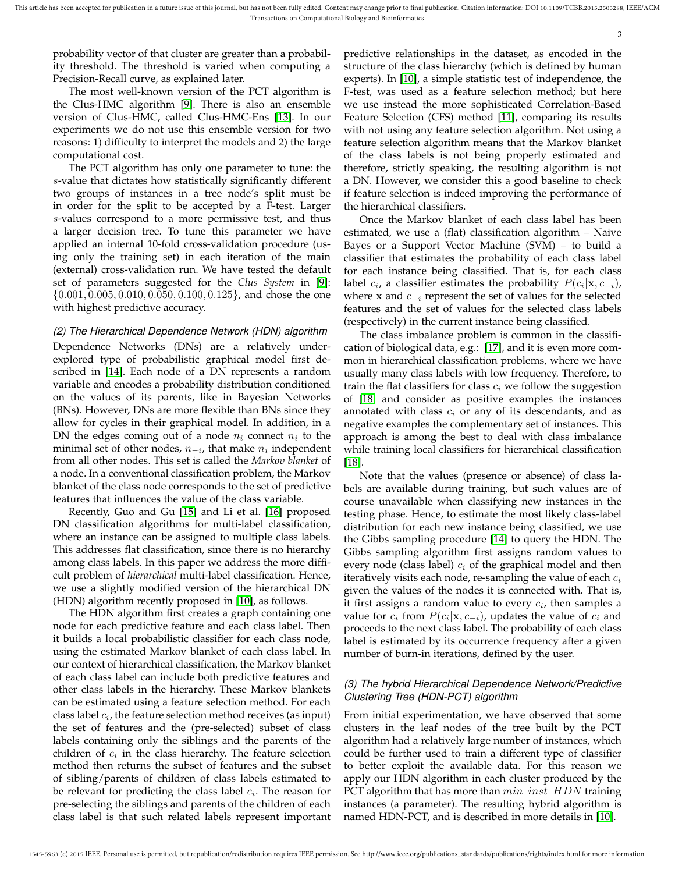3

probability vector of that cluster are greater than a probability threshold. The threshold is varied when computing a Precision-Recall curve, as explained later.

The most well-known version of the PCT algorithm is the Clus-HMC algorithm [9]. There is also an ensemble version of Clus-HMC, called Clus-HMC-Ens [13]. In our experiments we do not use this ensemble version for two reasons: 1) difficulty to interpret the models and 2) the large computational cost.

The PCT algorithm has only one parameter to tune: the s-value that dictates how statistically significantly different two groups of instances in a tree node's split must be in order for the split to be accepted by a F-test. Larger s-values correspond to a more permissive test, and thus a larger decision tree. To tune this parameter we have applied an internal 10-fold cross-validation procedure (using only the training set) in each iteration of the main (external) cross-validation run. We have tested the default set of parameters suggested for the *Clus System* in [9]:  $\{0.001, 0.005, 0.010, 0.050, 0.100, 0.125\}$ , and chose the one with highest predictive accuracy.

#### *(2) The Hierarchical Dependence Network (HDN) algorithm*

Dependence Networks (DNs) are a relatively underexplored type of probabilistic graphical model first described in [14]. Each node of a DN represents a random variable and encodes a probability distribution conditioned on the values of its parents, like in Bayesian Networks (BNs). However, DNs are more flexible than BNs since they allow for cycles in their graphical model. In addition, in a DN the edges coming out of a node  $n_i$  connect  $n_i$  to the minimal set of other nodes,  $n_{-i}$ , that make  $n_i$  independent from all other nodes. This set is called the *Markov blanket* of a node. In a conventional classification problem, the Markov blanket of the class node corresponds to the set of predictive features that influences the value of the class variable.

Recently, Guo and Gu [15] and Li et al. [16] proposed DN classification algorithms for multi-label classification, where an instance can be assigned to multiple class labels. This addresses flat classification, since there is no hierarchy among class labels. In this paper we address the more difficult problem of *hierarchical* multi-label classification. Hence, we use a slightly modified version of the hierarchical DN (HDN) algorithm recently proposed in [10], as follows.

The HDN algorithm first creates a graph containing one node for each predictive feature and each class label. Then it builds a local probabilistic classifier for each class node, using the estimated Markov blanket of each class label. In our context of hierarchical classification, the Markov blanket of each class label can include both predictive features and other class labels in the hierarchy. These Markov blankets can be estimated using a feature selection method. For each class label  $c_i$ , the feature selection method receives (as input) the set of features and the (pre-selected) subset of class labels containing only the siblings and the parents of the children of  $c_i$  in the class hierarchy. The feature selection method then returns the subset of features and the subset of sibling/parents of children of class labels estimated to be relevant for predicting the class label  $c_i$ . The reason for pre-selecting the siblings and parents of the children of each class label is that such related labels represent important

predictive relationships in the dataset, as encoded in the structure of the class hierarchy (which is defined by human experts). In [10], a simple statistic test of independence, the F-test, was used as a feature selection method; but here we use instead the more sophisticated Correlation-Based Feature Selection (CFS) method [11], comparing its results with not using any feature selection algorithm. Not using a feature selection algorithm means that the Markov blanket of the class labels is not being properly estimated and therefore, strictly speaking, the resulting algorithm is not a DN. However, we consider this a good baseline to check if feature selection is indeed improving the performance of the hierarchical classifiers.

Once the Markov blanket of each class label has been estimated, we use a (flat) classification algorithm – Naive Bayes or a Support Vector Machine (SVM) – to build a classifier that estimates the probability of each class label for each instance being classified. That is, for each class label  $c_i$ , a classifier estimates the probability  $P(c_i|\mathbf{x}, c_{-i})$ , where x and  $c_{-i}$  represent the set of values for the selected features and the set of values for the selected class labels (respectively) in the current instance being classified.

The class imbalance problem is common in the classification of biological data, e.g.: [17], and it is even more common in hierarchical classification problems, where we have usually many class labels with low frequency. Therefore, to train the flat classifiers for class  $c_i$  we follow the suggestion of [18] and consider as positive examples the instances annotated with class  $c_i$  or any of its descendants, and as negative examples the complementary set of instances. This approach is among the best to deal with class imbalance while training local classifiers for hierarchical classification [18].

Note that the values (presence or absence) of class labels are available during training, but such values are of course unavailable when classifying new instances in the testing phase. Hence, to estimate the most likely class-label distribution for each new instance being classified, we use the Gibbs sampling procedure [14] to query the HDN. The Gibbs sampling algorithm first assigns random values to every node (class label)  $c_i$  of the graphical model and then iteratively visits each node, re-sampling the value of each  $c_i$ given the values of the nodes it is connected with. That is, it first assigns a random value to every  $c_i$ , then samples a value for  $c_i$  from  $P(c_i|\mathbf{x}, c_{-i})$ , updates the value of  $c_i$  and proceeds to the next class label. The probability of each class label is estimated by its occurrence frequency after a given number of burn-in iterations, defined by the user.

#### *(3) The hybrid Hierarchical Dependence Network/Predictive Clustering Tree (HDN-PCT) algorithm*

From initial experimentation, we have observed that some clusters in the leaf nodes of the tree built by the PCT algorithm had a relatively large number of instances, which could be further used to train a different type of classifier to better exploit the available data. For this reason we apply our HDN algorithm in each cluster produced by the PCT algorithm that has more than  $min\_inst\_HDN$  training instances (a parameter). The resulting hybrid algorithm is named HDN-PCT, and is described in more details in [10].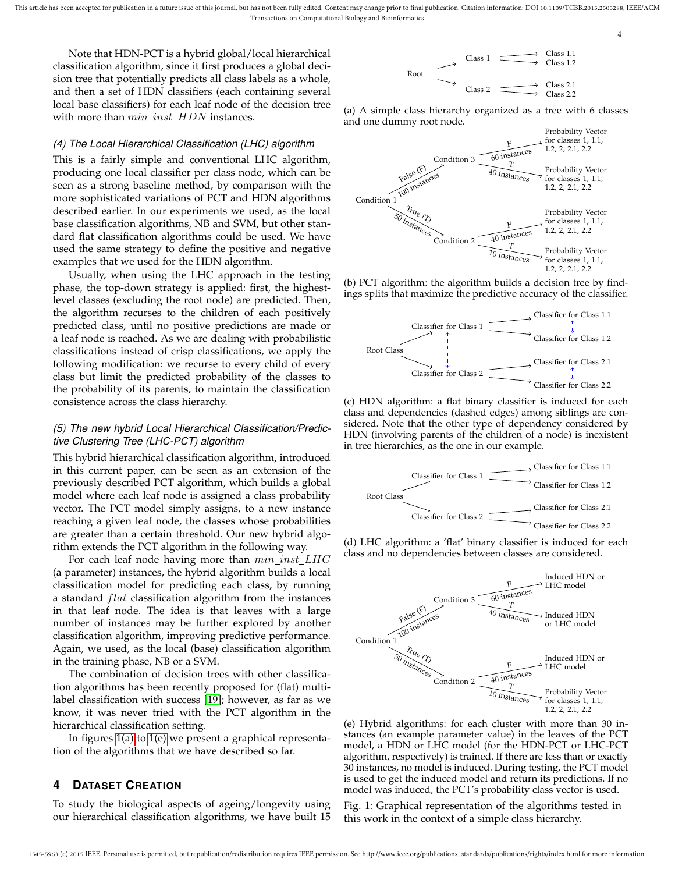Note that HDN-PCT is a hybrid global/local hierarchical classification algorithm, since it first produces a global decision tree that potentially predicts all class labels as a whole, and then a set of HDN classifiers (each containing several local base classifiers) for each leaf node of the decision tree with more than  $min\_inst\_HDN$  instances.

#### *(4) The Local Hierarchical Classification (LHC) algorithm*

This is a fairly simple and conventional LHC algorithm, producing one local classifier per class node, which can be seen as a strong baseline method, by comparison with the more sophisticated variations of PCT and HDN algorithms described earlier. In our experiments we used, as the local base classification algorithms, NB and SVM, but other standard flat classification algorithms could be used. We have used the same strategy to define the positive and negative examples that we used for the HDN algorithm.

Usually, when using the LHC approach in the testing phase, the top-down strategy is applied: first, the highestlevel classes (excluding the root node) are predicted. Then, the algorithm recurses to the children of each positively predicted class, until no positive predictions are made or a leaf node is reached. As we are dealing with probabilistic classifications instead of crisp classifications, we apply the following modification: we recurse to every child of every class but limit the predicted probability of the classes to the probability of its parents, to maintain the classification consistence across the class hierarchy.

#### *(5) The new hybrid Local Hierarchical Classification/Predictive Clustering Tree (LHC-PCT) algorithm*

This hybrid hierarchical classification algorithm, introduced in this current paper, can be seen as an extension of the previously described PCT algorithm, which builds a global model where each leaf node is assigned a class probability vector. The PCT model simply assigns, to a new instance reaching a given leaf node, the classes whose probabilities are greater than a certain threshold. Our new hybrid algorithm extends the PCT algorithm in the following way.

For each leaf node having more than  $min\_inst\_LHC$ (a parameter) instances, the hybrid algorithm builds a local classification model for predicting each class, by running a standard  $flat$  classification algorithm from the instances in that leaf node. The idea is that leaves with a large number of instances may be further explored by another classification algorithm, improving predictive performance. Again, we used, as the local (base) classification algorithm in the training phase, NB or a SVM.

The combination of decision trees with other classification algorithms has been recently proposed for (flat) multilabel classification with success [19]; however, as far as we know, it was never tried with the PCT algorithm in the hierarchical classification setting.

In figures 1(a) to 1(e) we present a graphical representation of the algorithms that we have described so far.

#### **4 DATASET CREATION**

To study the biological aspects of ageing/longevity using our hierarchical classification algorithms, we have built 15



4

(a) A simple class hierarchy organized as a tree with 6 classes and one dummy root node.



(b) PCT algorithm: the algorithm builds a decision tree by findings splits that maximize the predictive accuracy of the classifier.



(c) HDN algorithm: a flat binary classifier is induced for each class and dependencies (dashed edges) among siblings are considered. Note that the other type of dependency considered by HDN (involving parents of the children of a node) is inexistent in tree hierarchies, as the one in our example.



(d) LHC algorithm: a 'flat' binary classifier is induced for each class and no dependencies between classes are considered.



(e) Hybrid algorithms: for each cluster with more than 30 instances (an example parameter value) in the leaves of the PCT model, a HDN or LHC model (for the HDN-PCT or LHC-PCT algorithm, respectively) is trained. If there are less than or exactly 30 instances, no model is induced. During testing, the PCT model is used to get the induced model and return its predictions. If no model was induced, the PCT's probability class vector is used.

Fig. 1: Graphical representation of the algorithms tested in this work in the context of a simple class hierarchy.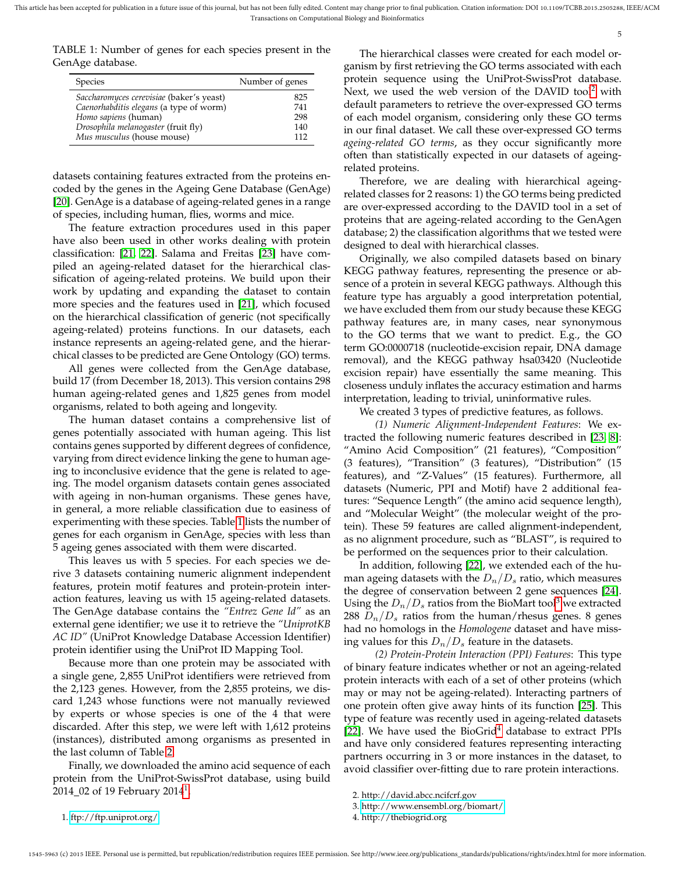TABLE 1: Number of genes for each species present in the GenAge database.

| <b>Species</b>                           | Number of genes |
|------------------------------------------|-----------------|
| Saccharomyces cerevisiae (baker's yeast) | 825             |
| Caenorhabditis elegans (a type of worm)  | 741             |
| Homo sapiens (human)                     | 298             |
| Drosophila melanogaster (fruit fly)      | 140             |
| Mus musculus (house mouse)               | 112             |

datasets containing features extracted from the proteins encoded by the genes in the Ageing Gene Database (GenAge) [20]. GenAge is a database of ageing-related genes in a range of species, including human, flies, worms and mice.

The feature extraction procedures used in this paper have also been used in other works dealing with protein classification: [21, 22]. Salama and Freitas [23] have compiled an ageing-related dataset for the hierarchical classification of ageing-related proteins. We build upon their work by updating and expanding the dataset to contain more species and the features used in [21], which focused on the hierarchical classification of generic (not specifically ageing-related) proteins functions. In our datasets, each instance represents an ageing-related gene, and the hierarchical classes to be predicted are Gene Ontology (GO) terms.

All genes were collected from the GenAge database, build 17 (from December 18, 2013). This version contains 298 human ageing-related genes and 1,825 genes from model organisms, related to both ageing and longevity.

The human dataset contains a comprehensive list of genes potentially associated with human ageing. This list contains genes supported by different degrees of confidence, varying from direct evidence linking the gene to human ageing to inconclusive evidence that the gene is related to ageing. The model organism datasets contain genes associated with ageing in non-human organisms. These genes have, in general, a more reliable classification due to easiness of experimenting with these species. Table 1 lists the number of genes for each organism in GenAge, species with less than 5 ageing genes associated with them were discarted.

This leaves us with 5 species. For each species we derive 3 datasets containing numeric alignment independent features, protein motif features and protein-protein interaction features, leaving us with 15 ageing-related datasets. The GenAge database contains the *"Entrez Gene Id"* as an external gene identifier; we use it to retrieve the *"UniprotKB AC ID"* (UniProt Knowledge Database Accession Identifier) protein identifier using the UniProt ID Mapping Tool.

Because more than one protein may be associated with a single gene, 2,855 UniProt identifiers were retrieved from the 2,123 genes. However, from the 2,855 proteins, we discard 1,243 whose functions were not manually reviewed by experts or whose species is one of the 4 that were discarded. After this step, we were left with 1,612 proteins (instances), distributed among organisms as presented in the last column of Table 2.

Finally, we downloaded the amino acid sequence of each protein from the UniProt-SwissProt database, using build 2014\_02 of 19 February 2014<sup>1</sup>.

The hierarchical classes were created for each model organism by first retrieving the GO terms associated with each protein sequence using the UniProt-SwissProt database. Next, we used the web version of the DAVID tool<sup>2</sup> with default parameters to retrieve the over-expressed GO terms of each model organism, considering only these GO terms in our final dataset. We call these over-expressed GO terms *ageing-related GO terms*, as they occur significantly more often than statistically expected in our datasets of ageingrelated proteins.

5

Therefore, we are dealing with hierarchical ageingrelated classes for 2 reasons: 1) the GO terms being predicted are over-expressed according to the DAVID tool in a set of proteins that are ageing-related according to the GenAgen database; 2) the classification algorithms that we tested were designed to deal with hierarchical classes.

Originally, we also compiled datasets based on binary KEGG pathway features, representing the presence or absence of a protein in several KEGG pathways. Although this feature type has arguably a good interpretation potential, we have excluded them from our study because these KEGG pathway features are, in many cases, near synonymous to the GO terms that we want to predict. E.g., the GO term GO:0000718 (nucleotide-excision repair, DNA damage removal), and the KEGG pathway hsa03420 (Nucleotide excision repair) have essentially the same meaning. This closeness unduly inflates the accuracy estimation and harms interpretation, leading to trivial, uninformative rules.

We created 3 types of predictive features, as follows.

*(1) Numeric Alignment-Independent Features*: We extracted the following numeric features described in [23, 8]: "Amino Acid Composition" (21 features), "Composition" (3 features), "Transition" (3 features), "Distribution" (15 features), and "Z-Values" (15 features). Furthermore, all datasets (Numeric, PPI and Motif) have 2 additional features: "Sequence Length" (the amino acid sequence length), and "Molecular Weight" (the molecular weight of the protein). These 59 features are called alignment-independent, as no alignment procedure, such as "BLAST", is required to be performed on the sequences prior to their calculation.

In addition, following [22], we extended each of the human ageing datasets with the  $D_n/D_s$  ratio, which measures the degree of conservation between 2 gene sequences [24]. Using the  $D_n/D_s$  ratios from the BioMart tool<sup>3</sup> we extracted 288  $D_n/D_s$  ratios from the human/rhesus genes. 8 genes had no homologs in the *Homologene* dataset and have missing values for this  $D_n/D_s$  feature in the datasets.

*(2) Protein-Protein Interaction (PPI) Features*: This type of binary feature indicates whether or not an ageing-related protein interacts with each of a set of other proteins (which may or may not be ageing-related). Interacting partners of one protein often give away hints of its function [25]. This type of feature was recently used in ageing-related datasets [22]. We have used the  $BioGrid<sup>4</sup>$  database to extract PPIs and have only considered features representing interacting partners occurring in 3 or more instances in the dataset, to avoid classifier over-fitting due to rare protein interactions.

1.<ftp://ftp.uniprot.org/>

<sup>2.</sup> http://david.abcc.ncifcrf.gov

<sup>3.</sup><http://www.ensembl.org/biomart/>

<sup>4.</sup> http://thebiogrid.org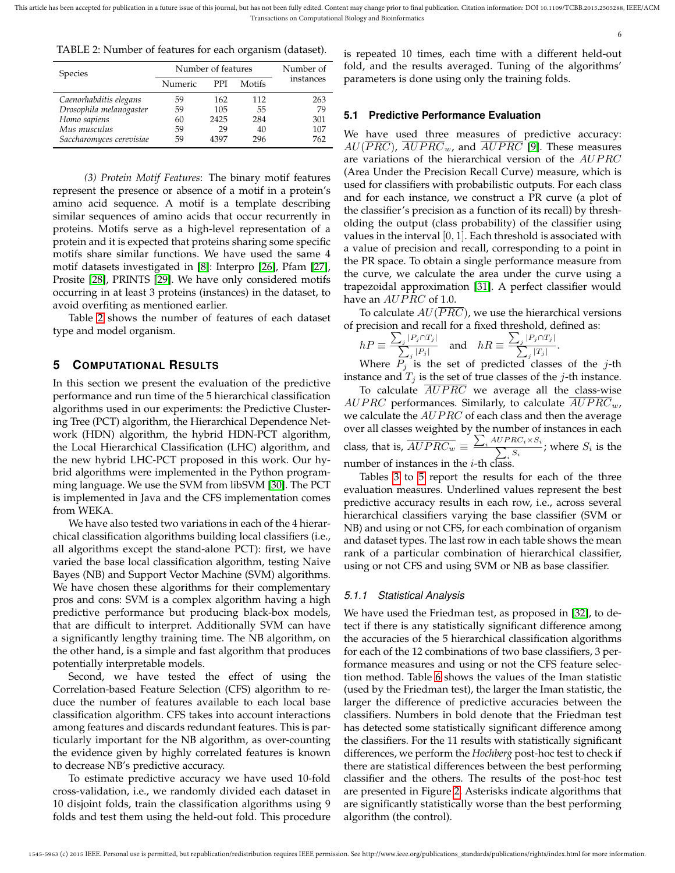6

TABLE 2: Number of features for each organism (dataset).

| <b>Species</b>           |         | Number of features |        | Number of |
|--------------------------|---------|--------------------|--------|-----------|
|                          | Numeric | <b>PPI</b>         | Motifs | instances |
| Caenorhabditis elegans   | 59      | 162                | 112    | 263       |
| Drosophila melanogaster  | 59      | 105                | 55     | 79        |
| Homo sapiens             | 60      | 2425               | 284    | 301       |
| Mus musculus             | 59      | 29                 | 40     | 107       |
| Saccharomyces cerevisiae | 59      | 4397               | 296    | 762       |

*(3) Protein Motif Features*: The binary motif features represent the presence or absence of a motif in a protein's amino acid sequence. A motif is a template describing similar sequences of amino acids that occur recurrently in proteins. Motifs serve as a high-level representation of a protein and it is expected that proteins sharing some specific motifs share similar functions. We have used the same 4 motif datasets investigated in [8]: Interpro [26], Pfam [27], Prosite [28], PRINTS [29]. We have only considered motifs occurring in at least 3 proteins (instances) in the dataset, to avoid overfiting as mentioned earlier.

Table 2 shows the number of features of each dataset type and model organism.

#### **5 COMPUTATIONAL RESULTS**

In this section we present the evaluation of the predictive performance and run time of the 5 hierarchical classification algorithms used in our experiments: the Predictive Clustering Tree (PCT) algorithm, the Hierarchical Dependence Network (HDN) algorithm, the hybrid HDN-PCT algorithm, the Local Hierarchical Classification (LHC) algorithm, and the new hybrid LHC-PCT proposed in this work. Our hybrid algorithms were implemented in the Python programming language. We use the SVM from libSVM [30]. The PCT is implemented in Java and the CFS implementation comes from WEKA.

We have also tested two variations in each of the 4 hierarchical classification algorithms building local classifiers (i.e., all algorithms except the stand-alone PCT): first, we have varied the base local classification algorithm, testing Naive Bayes (NB) and Support Vector Machine (SVM) algorithms. We have chosen these algorithms for their complementary pros and cons: SVM is a complex algorithm having a high predictive performance but producing black-box models, that are difficult to interpret. Additionally SVM can have a significantly lengthy training time. The NB algorithm, on the other hand, is a simple and fast algorithm that produces potentially interpretable models.

Second, we have tested the effect of using the Correlation-based Feature Selection (CFS) algorithm to reduce the number of features available to each local base classification algorithm. CFS takes into account interactions among features and discards redundant features. This is particularly important for the NB algorithm, as over-counting the evidence given by highly correlated features is known to decrease NB's predictive accuracy.

To estimate predictive accuracy we have used 10-fold cross-validation, i.e., we randomly divided each dataset in 10 disjoint folds, train the classification algorithms using 9 folds and test them using the held-out fold. This procedure is repeated 10 times, each time with a different held-out fold, and the results averaged. Tuning of the algorithms' parameters is done using only the training folds.

#### **5.1 Predictive Performance Evaluation**

We have used three measures of predictive accuracy:  $AU(PRC)$ ,  $AUPRC_w$ , and  $AUPRC$  [9]. These measures are variations of the hierarchical version of the AUPRC (Area Under the Precision Recall Curve) measure, which is used for classifiers with probabilistic outputs. For each class and for each instance, we construct a PR curve (a plot of the classifier's precision as a function of its recall) by thresholding the output (class probability) of the classifier using values in the interval  $[0, 1]$ . Each threshold is associated with a value of precision and recall, corresponding to a point in the PR space. To obtain a single performance measure from the curve, we calculate the area under the curve using a trapezoidal approximation [31]. A perfect classifier would have an  $AUPRC$  of 1.0.

To calculate  $AU(PRC)$ , we use the hierarchical versions of precision and recall for a fixed threshold, defined as:

$$
hP \equiv \frac{\sum_j |P_j \cap T_j|}{\sum_j |P_j|}
$$
 and 
$$
hR \equiv \frac{\sum_j |P_j \cap T_j|}{\sum_j |T_j|}.
$$

Where  $P_j$  is the set of predicted classes of the j-th instance and  $T_j$  is the set of true classes of the *j*-th instance.

To calculate  $\overline{AUPRC}$  we average all the class-wise AUPRC performances. Similarly, to calculate  $\overline{AUPRC}_{w}$ , we calculate the  $AUPRC$  of each class and then the average over all classes weighted by the number of instances in each class, that is,  $\overline{AUPRC_w} \equiv \frac{\sum_i AUPRC_i \times S_i}{\sum_i S_i}$ ; where  $S_i$  is the number of instances in the  $i$ -th class.

Tables 3 to 5 report the results for each of the three evaluation measures. Underlined values represent the best predictive accuracy results in each row, i.e., across several hierarchical classifiers varying the base classifier (SVM or NB) and using or not CFS, for each combination of organism and dataset types. The last row in each table shows the mean rank of a particular combination of hierarchical classifier, using or not CFS and using SVM or NB as base classifier.

#### *5.1.1 Statistical Analysis*

We have used the Friedman test, as proposed in [32], to detect if there is any statistically significant difference among the accuracies of the 5 hierarchical classification algorithms for each of the 12 combinations of two base classifiers, 3 performance measures and using or not the CFS feature selection method. Table 6 shows the values of the Iman statistic (used by the Friedman test), the larger the Iman statistic, the larger the difference of predictive accuracies between the classifiers. Numbers in bold denote that the Friedman test has detected some statistically significant difference among the classifiers. For the 11 results with statistically significant differences, we perform the *Hochberg* post-hoc test to check if there are statistical differences between the best performing classifier and the others. The results of the post-hoc test are presented in Figure 2. Asterisks indicate algorithms that are significantly statistically worse than the best performing algorithm (the control).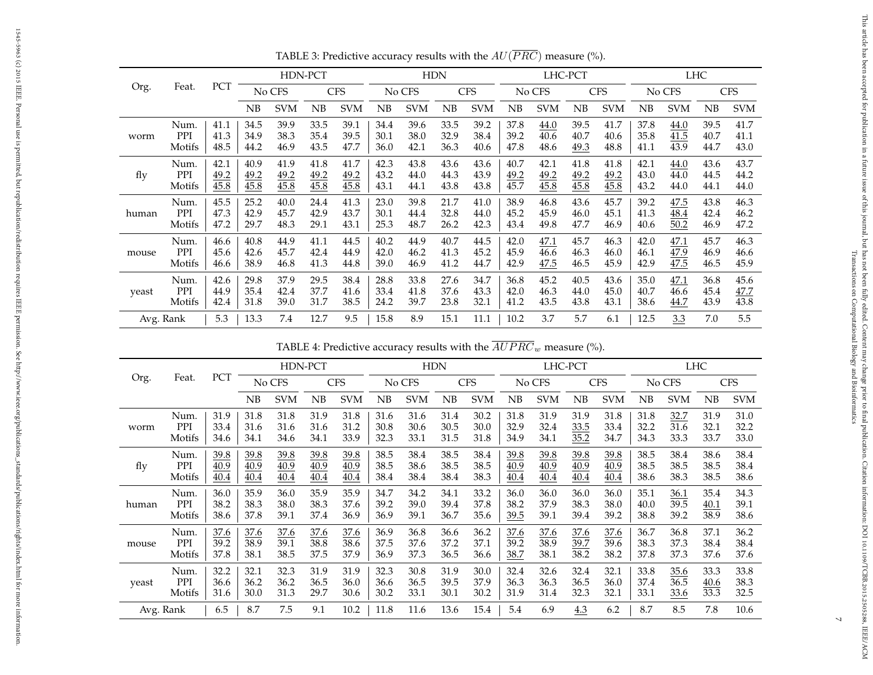|       |           |      |      |            | HDN-PCT |            |      |            | <b>HDN</b> |            |      |            | LHC-PCT |            |      |            | <b>LHC</b> |            |
|-------|-----------|------|------|------------|---------|------------|------|------------|------------|------------|------|------------|---------|------------|------|------------|------------|------------|
| Org.  | Feat.     | PCT  |      | No CFS     |         | <b>CFS</b> |      | No CFS     |            | <b>CFS</b> |      | No CFS     |         | <b>CFS</b> |      | No CFS     |            | <b>CFS</b> |
|       |           |      | NB   | <b>SVM</b> | NB      | <b>SVM</b> | NB   | <b>SVM</b> | NB         | <b>SVM</b> | NB   | <b>SVM</b> | NB      | <b>SVM</b> | NB   | <b>SVM</b> | NB         | <b>SVM</b> |
| worm  | Num.      | 41.1 | 34.5 | 39.9       | 33.5    | 39.1       | 34.4 | 39.6       | 33.5       | 39.2       | 37.8 | 44.0       | 39.5    | 41.7       | 37.8 | 44.0       | 39.5       | 41.7       |
|       | PPI       | 41.3 | 34.9 | 38.3       | 35.4    | 39.5       | 30.1 | 38.0       | 32.9       | 38.4       | 39.2 | 40.6       | 40.7    | 40.6       | 35.8 | 41.5       | 40.7       | 41.1       |
|       | Motifs    | 48.5 | 44.2 | 46.9       | 43.5    | 47.7       | 36.0 | 42.1       | 36.3       | 40.6       | 47.8 | 48.6       | 49.3    | 48.8       | 41.1 | 43.9       | 44.7       | 43.0       |
| fly   | Num.      | 42.1 | 40.9 | 41.9       | 41.8    | 41.7       | 42.3 | 43.8       | 43.6       | 43.6       | 40.7 | 42.1       | 41.8    | 41.8       | 42.1 | 44.0       | 43.6       | 43.7       |
|       | PPI       | 49.2 | 49.2 | 49.2       | 49.2    | 49.2       | 43.2 | 44.0       | 44.3       | 43.9       | 49.2 | 49.2       | 49.2    | 49.2       | 43.0 | 44.0       | 44.5       | 44.2       |
|       | Motifs    | 45.8 | 45.8 | 45.8       | 45.8    | 45.8       | 43.1 | 44.1       | 43.8       | 43.8       | 45.7 | 45.8       | 45.8    | 45.8       | 43.2 | 44.0       | 44.1       | 44.0       |
| human | Num.      | 45.5 | 25.2 | 40.0       | 24.4    | 41.3       | 23.0 | 39.8       | 21.7       | 41.0       | 38.9 | 46.8       | 43.6    | 45.7       | 39.2 | 47.5       | 43.8       | 46.3       |
|       | PPI       | 47.3 | 42.9 | 45.7       | 42.9    | 43.7       | 30.1 | 44.4       | 32.8       | 44.0       | 45.2 | 45.9       | 46.0    | 45.1       | 41.3 | 48.4       | 42.4       | 46.2       |
|       | Motifs    | 47.2 | 29.7 | 48.3       | 29.1    | 43.1       | 25.3 | 48.7       | 26.2       | 42.3       | 43.4 | 49.8       | 47.7    | 46.9       | 40.6 | 50.2       | 46.9       | 47.2       |
| mouse | Num.      | 46.6 | 40.8 | 44.9       | 41.1    | 44.5       | 40.2 | 44.9       | 40.7       | 44.5       | 42.0 | 47.1       | 45.7    | 46.3       | 42.0 | 47.1       | 45.7       | 46.3       |
|       | PPI       | 45.6 | 42.6 | 45.7       | 42.4    | 44.9       | 42.0 | 46.2       | 41.3       | 45.2       | 45.9 | 46.6       | 46.3    | 46.0       | 46.1 | 47.9       | 46.9       | 46.6       |
|       | Motifs    | 46.6 | 38.9 | 46.8       | 41.3    | 44.8       | 39.0 | 46.9       | 41.2       | 44.7       | 42.9 | 47.5       | 46.5    | 45.9       | 42.9 | 47.5       | 46.5       | 45.9       |
| yeast | Num.      | 42.6 | 29.8 | 37.9       | 29.5    | 38.4       | 28.8 | 33.8       | 27.6       | 34.7       | 36.8 | 45.2       | 40.5    | 43.6       | 35.0 | 47.1       | 36.8       | 45.6       |
|       | PPI       | 44.9 | 35.4 | 42.4       | 37.7    | 41.6       | 33.4 | 41.8       | 37.6       | 43.3       | 42.0 | 46.3       | 44.0    | 45.0       | 40.7 | 46.6       | 45.4       | 47.7       |
|       | Motifs    | 42.4 | 31.8 | 39.0       | 31.7    | 38.5       | 24.2 | 39.7       | 23.8       | 32.1       | 41.2 | 43.5       | 43.8    | 43.1       | 38.6 | 44.7       | 43.9       | 43.8       |
|       | Avg. Rank | 5.3  | 13.3 | 7.4        | 12.7    | 9.5        | 15.8 | 8.9        | 15.1       | 11.1       | 10.2 | 3.7        | 5.7     | 6.1        | 12.5 | 3.3        | 7.0        | 5.5        |

TABLE 3: Predictive accuracy results with the  $AU(PRC)$  measure (%).

| TABLE 4: Predictive accuracy results with the $AUPRC_w$ measure (%). |  |
|----------------------------------------------------------------------|--|
|----------------------------------------------------------------------|--|

1545-5963 (c) 2015 IEEE. Personal use is permitted, but republication/redistribution requires IEEE permission. See http://www.ieee.org/publications\_standards/publications/rights/index.html for more information.

1545-5963 (c) 2015 IEEE. Personal use is permitted, but republication/redistribution requires IEEE permission. See http://www.iee.exg/publications\_standards/publications/rights/index.html for more information.

|       |           |            |      |            | HDN-PCT |            |      | <b>HDN</b> |      |            |      |            | LHC-PCT |            |      |            | <b>LHC</b> |            |
|-------|-----------|------------|------|------------|---------|------------|------|------------|------|------------|------|------------|---------|------------|------|------------|------------|------------|
| Org.  | Feat.     | <b>PCT</b> |      | No CFS     |         | <b>CFS</b> |      | No CFS     |      | <b>CFS</b> |      | No CFS     |         | <b>CFS</b> |      | No CFS     |            | <b>CFS</b> |
|       |           |            | NB   | <b>SVM</b> | NB      | <b>SVM</b> | NΒ   | <b>SVM</b> | NB   | <b>SVM</b> | NB   | <b>SVM</b> | NB      | <b>SVM</b> | NB   | <b>SVM</b> | NB         | <b>SVM</b> |
| worm  | Num.      | 31.9       | 31.8 | 31.8       | 31.9    | 31.8       | 31.6 | 31.6       | 31.4 | 30.2       | 31.8 | 31.9       | 31.9    | 31.8       | 31.8 | 32.7       | 31.9       | 31.0       |
|       | PPI       | 33.4       | 31.6 | 31.6       | 31.6    | 31.2       | 30.8 | 30.6       | 30.5 | 30.0       | 32.9 | 32.4       | 33.5    | 33.4       | 32.2 | 31.6       | 32.1       | 32.2       |
|       | Motifs    | 34.6       | 34.1 | 34.6       | 34.1    | 33.9       | 32.3 | 33.1       | 31.5 | 31.8       | 34.9 | 34.1       | 35.2    | 34.7       | 34.3 | 33.3       | 33.7       | 33.0       |
| fly   | Num.      | 39.8       | 39.8 | 39.8       | 39.8    | 39.8       | 38.5 | 38.4       | 38.5 | 38.4       | 39.8 | 39.8       | 39.8    | 39.8       | 38.5 | 38.4       | 38.6       | 38.4       |
|       | PPI       | 40.9       | 40.9 | 40.9       | 40.9    | 40.9       | 38.5 | 38.6       | 38.5 | 38.5       | 40.9 | 40.9       | 40.9    | 40.9       | 38.5 | 38.5       | 38.5       | 38.4       |
|       | Motifs    | 40.4       | 40.4 | 40.4       | 40.4    | 40.4       | 38.4 | 38.4       | 38.4 | 38.3       | 40.4 | 40.4       | 40.4    | 40.4       | 38.6 | 38.3       | 38.5       | 38.6       |
| human | Num.      | 36.0       | 35.9 | 36.0       | 35.9    | 35.9       | 34.7 | 34.2       | 34.1 | 33.2       | 36.0 | 36.0       | 36.0    | 36.0       | 35.1 | 36.1       | 35.4       | 34.3       |
|       | PPI       | 38.2       | 38.3 | 38.0       | 38.3    | 37.6       | 39.2 | 39.0       | 39.4 | 37.8       | 38.2 | 37.9       | 38.3    | 38.0       | 40.0 | 39.5       | 40.1       | 39.1       |
|       | Motifs    | 38.6       | 37.8 | 39.1       | 37.4    | 36.9       | 36.9 | 39.1       | 36.7 | 35.6       | 39.5 | 39.1       | 39.4    | 39.2       | 38.8 | 39.2       | 38.9       | 38.6       |
| mouse | Num.      | 37.6       | 37.6 | 37.6       | 37.6    | 37.6       | 36.9 | 36.8       | 36.6 | 36.2       | 37.6 | 37.6       | 37.6    | 37.6       | 36.7 | 36.8       | 37.1       | 36.2       |
|       | PPI       | 39.2       | 38.9 | 39.1       | 38.8    | 38.6       | 37.5 | 37.6       | 37.2 | 37.1       | 39.2 | 38.9       | 39.7    | 39.6       | 38.3 | 37.3       | 38.4       | 38.4       |
|       | Motifs    | 37.8       | 38.1 | 38.5       | 37.5    | 37.9       | 36.9 | 37.3       | 36.5 | 36.6       | 38.7 | 38.1       | 38.2    | 38.2       | 37.8 | 37.3       | 37.6       | 37.6       |
| yeast | Num.      | 32.2       | 32.1 | 32.3       | 31.9    | 31.9       | 32.3 | 30.8       | 31.9 | 30.0       | 32.4 | 32.6       | 32.4    | 32.1       | 33.8 | 35.6       | 33.3       | 33.8       |
|       | PPI       | 36.6       | 36.2 | 36.2       | 36.5    | 36.0       | 36.6 | 36.5       | 39.5 | 37.9       | 36.3 | 36.3       | 36.5    | 36.0       | 37.4 | 36.5       | 40.6       | 38.3       |
|       | Motifs    | 31.6       | 30.0 | 31.3       | 29.7    | 30.6       | 30.2 | 33.1       | 30.1 | 30.2       | 31.9 | 31.4       | 32.3    | 32.1       | 33.1 | 33.6       | 33.3       | 32.5       |
|       | Avg. Rank | 6.5        | 8.7  | 7.5        | 9.1     | 10.2       | 11.8 | 11.6       | 13.6 | 15.4       | 5.4  | 6.9        | 4.3     | 6.2        | 8.7  | 8.5        | 7.8        | 10.6       |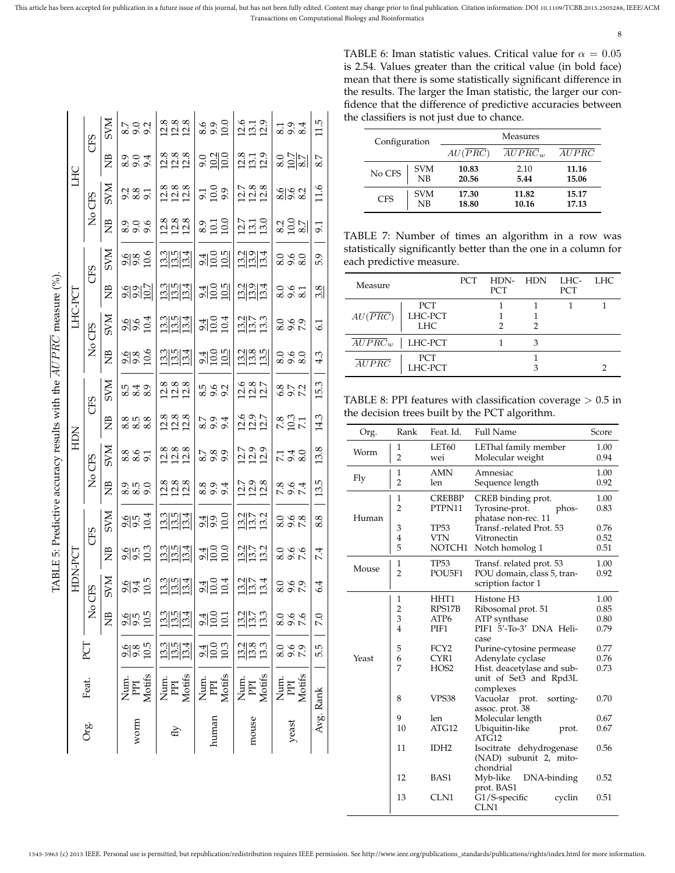8

|              |                                                                                                                                                                                                                                                                                                                                                                                                                                                                   |                                           |                         | HDN-PCT                                                                                                                                                                                                                                                                                                             |                                           |                                     |                            | <b>NGH</b>       |                            |                     |                     | LHC-PCT                      |                     |                              |                                                       | LHC                         |                                                                  |                                                |
|--------------|-------------------------------------------------------------------------------------------------------------------------------------------------------------------------------------------------------------------------------------------------------------------------------------------------------------------------------------------------------------------------------------------------------------------------------------------------------------------|-------------------------------------------|-------------------------|---------------------------------------------------------------------------------------------------------------------------------------------------------------------------------------------------------------------------------------------------------------------------------------------------------------------|-------------------------------------------|-------------------------------------|----------------------------|------------------|----------------------------|---------------------|---------------------|------------------------------|---------------------|------------------------------|-------------------------------------------------------|-----------------------------|------------------------------------------------------------------|------------------------------------------------|
| Org.         | Feat.                                                                                                                                                                                                                                                                                                                                                                                                                                                             | PCT                                       |                         |                                                                                                                                                                                                                                                                                                                     |                                           | CFS                                 | No CFS                     |                  |                            | CES                 |                     | No CFS                       |                     | CFS                          | $\frac{1}{2}$                                         | C <sub>H</sub> S            |                                                                  | <b>GES</b>                                     |
|              |                                                                                                                                                                                                                                                                                                                                                                                                                                                                   |                                           | $\Xi$                   | $\frac{N\sigma\,CB\overline{S}}{B\overline{S}VM}$                                                                                                                                                                                                                                                                   | Ë                                         | <b>NNS</b>                          | Ë                          | <b>N/S</b>       | Ë                          | <b>NNS</b>          | Ë                   | <b>NNS</b>                   | Ë                   | NNS                          | Ë                                                     | <b>NNS</b>                  | Ë                                                                | <b>NNS</b>                                     |
| worm         | Num.<br>PPI<br>Motifs                                                                                                                                                                                                                                                                                                                                                                                                                                             | $\frac{6}{9}$ $\frac{8}{9}$ $\frac{5}{9}$ | <u>915 13</u><br>915 19 |                                                                                                                                                                                                                                                                                                                     | $\frac{6}{9}$ $\frac{6}{9}$ $\frac{3}{9}$ | $rac{6}{9}$ $rac{6}{9}$ $rac{4}{9}$ | 8.5<br>8.6<br>8.9          | 8867             | $8.58$<br>$8.58$           | $8.340$<br>$8.9$    | $\frac{9.6}{9.8}$   | $\frac{6}{96}$ $\frac{3}{4}$ | $\frac{500}{900}$   |                              | 9.0<br>8.0<br>8.0                                     | $9.38 - 1$                  | 8.0.4<br>8.0.4                                                   |                                                |
| $\mathbb{H}$ |                                                                                                                                                                                                                                                                                                                                                                                                                                                                   | $\frac{335}{25}$                          | $\frac{23}{25}$         | $\frac{1}{2}$ $\frac{1}{2}$ $\frac{1}{2}$ $\frac{1}{2}$ $\frac{1}{2}$ $\frac{1}{2}$ $\frac{1}{2}$ $\frac{1}{2}$ $\frac{1}{2}$ $\frac{1}{2}$ $\frac{1}{2}$ $\frac{1}{2}$ $\frac{1}{2}$ $\frac{1}{2}$ $\frac{1}{2}$ $\frac{1}{2}$ $\frac{1}{2}$ $\frac{1}{2}$ $\frac{1}{2}$ $\frac{1}{2}$ $\frac{1}{2}$ $\frac{1}{2}$ | <u>nglaj</u><br>1954                      | $\frac{23}{25}$                     | $12.8$<br>$12.8$<br>$12.8$ | $12.8$<br>$12.8$ | $12.8$<br>$12.8$<br>$12.8$ | $12.8$<br>$12.8$    | $\frac{3354}{2}$    | $\frac{23}{25}$              | $\frac{3354}{21}$   | <u>န္ပုံစံ ၃၂ မျိုးမျိုး</u> | $12.8$<br>$12.8$<br>$12.8$                            | $12.8$<br>$12.8$<br>$12.8$  | $12.8$<br>$12.8$<br>$12.8$                                       | $8.592$<br>$9.2$<br>$12.8$<br>$12.8$<br>$12.8$ |
| human        | $\begin{tabular}{l} Nium.\\ \hline PPI\\ \hline Ncm.\\ \hline Num.\\ \hline PII\\ \hline M,\\ \hline PII\\ \hline PII\\ \hline PII\\ \hline M,\\ \hline PII\\ \hline M,\\ \hline M,\\ \hline M,\\ \hline M,\\ \hline M,\\ \hline M,\\ \hline M,\\ \hline M,\\ \hline M,\\ \hline M,\\ \hline M,\\ \hline M,\\ \hline M,\\ \hline M,\\ \hline M,\\ \hline M,\\ \hline M,\\ \hline M,\\ \hline M,\\ \hline M,\\ \hline M,\\ \hline M,\\ \hline M,\\ \hline M,\\ \h$ | 210.03<br>210.04                          | $\frac{94}{100}$        |                                                                                                                                                                                                                                                                                                                     | $\frac{9400}{100}$                        | $\frac{94}{90}$                     | 8.9.4<br>8.9.9             | $8.89$<br>9.9    | 8.594                      |                     | $\frac{940}{10.5}$  | $\frac{9400}{1004}$          | $\frac{9.4}{10.0}$  | $\frac{3125}{200}$           | $\begin{array}{c} 0.01 \\ -0.01 \\ -0.01 \end{array}$ | $9.1$<br>$9.0$              |                                                                  |                                                |
| mouse        |                                                                                                                                                                                                                                                                                                                                                                                                                                                                   | $\frac{13.2}{13.3}$                       | nin 3<br>710            |                                                                                                                                                                                                                                                                                                                     | $\frac{13.7}{13.2}$                       | $\frac{13.7}{13.2}$                 | 12.9<br>12.9<br>12.8       | 12.9<br>12.9     | $12.9$<br>$12.7$<br>$12.7$ | $\frac{12.8}{12.7}$ | $\frac{13.2}{13.5}$ | $\frac{13.7}{13.3}$          | $\frac{13.2}{13.4}$ | $\frac{13.2}{13.4}$          | $12.7$<br>$13.1$<br>$13.0$                            | $12.8$<br>$12.8$<br>$12.8$  | $\frac{30}{100}$ $\frac{20}{12}$ $\frac{20}{12}$ $\frac{20}{12}$ |                                                |
| yeast        | Num.<br>PPI<br>Motifs                                                                                                                                                                                                                                                                                                                                                                                                                                             | 0.900008                                  | 0,0,0<br>0,0,0<br>0,0   | 8.80                                                                                                                                                                                                                                                                                                                | $0.960$<br>7.0                            | $0.98$<br>$0.88$                    | $7.8$<br>$7.4$             | 7.300            | $7.8$<br>$10.7$            | 6072                | $8.0$<br>$8.0$      | 8.9<br>9.6<br>7.9            | $8.0$<br>$8.7$      | 0.90000                      |                                                       | $rac{6}{80}$<br>$rac{6}{8}$ | $rac{20}{80}$                                                    |                                                |
|              | Avg. Rank                                                                                                                                                                                                                                                                                                                                                                                                                                                         | 5.5                                       | 7.0                     | 6.4                                                                                                                                                                                                                                                                                                                 | 7.4                                       | 8.8                                 | 13.5                       | 13.8             | 14.3                       | 15.3                | 4.3                 | $\overline{61}$              | 3.8                 | 5.9                          | 9.1                                                   | 11.6                        | 8.7                                                              | $11.5$                                         |

TABLE 6: Iman statistic values. Critical value for  $\alpha = 0.05$ is 2.54. Values greater than the critical value (in bold face) mean that there is some statistically significant difference in the results. The larger the Iman statistic, the larger our confidence that the difference of predictive accuracies between the classifiers is not just due to chance.

| Configuration |            |         | Measures  |       |
|---------------|------------|---------|-----------|-------|
|               |            | AU(PRC) | $AUPRC_w$ | AUPRC |
| No CFS        | <b>SVM</b> | 10.83   | 2.10      | 11.16 |
|               | NB         | 20.56   | 5.44      | 15.06 |
| <b>CFS</b>    | <b>SVM</b> | 17.30   | 11.82     | 15.17 |
|               | NΒ         | 18.80   | 10.16     | 17.13 |

TABLE 7: Number of times an algorithm in a row was statistically significantly better than the one in a column for each predictive measure.

| Measure              |                                     | PCT. | HDN-<br>PCT | <b>HDN</b> | LHC-<br><b>PCT</b> | LHC. |
|----------------------|-------------------------------------|------|-------------|------------|--------------------|------|
| $AU(\overline{PRC})$ | <b>PCT</b><br>LHC-PCT<br><b>LHC</b> |      |             |            |                    |      |
| $\overline{AUPRC}_w$ | LHC-PCT                             |      |             |            |                    |      |
| AUPRC                | <b>PCT</b><br>LHC-PCT               |      |             |            |                    |      |

TABLE 8: PPI features with classification coverage  $> 0.5$  in the decision trees built by the PCT algorithm.

| Org.  | Rank                                       | Feat. Id.                                    | <b>Full Name</b>                                                                                                   | Score                        |
|-------|--------------------------------------------|----------------------------------------------|--------------------------------------------------------------------------------------------------------------------|------------------------------|
| Worm  | 1<br>$\overline{2}$                        | LET60<br>wei                                 | LEThal family member<br>Molecular weight                                                                           | 1.00<br>0.94                 |
| Fly   | 1<br>$\overline{2}$                        | AMN<br>len                                   | Amnesiac<br>Sequence length                                                                                        | 1.00<br>0.92                 |
| Human | 1<br>$\overline{2}$                        | <b>CREBBP</b><br>PTPN11                      | CREB binding prot.<br>Tyrosine-prot.<br>phos-<br>phatase non-rec. 11                                               | 1.00<br>0.83                 |
|       | 3<br>4<br>5                                | <b>TP53</b><br><b>VTN</b><br>NOTCH1          | Transf.-related Prot. 53<br>Vitronectin<br>Notch homolog 1                                                         | 0.76<br>0.52<br>0.51         |
| Mouse | 1<br>$\overline{2}$                        | <b>TP53</b><br>POU5F1                        | Transf. related prot. 53<br>POU domain, class 5, tran-<br>scription factor 1                                       | 1.00<br>0.92                 |
|       | 1<br>$\overline{2}$<br>3<br>$\overline{4}$ | HHT1<br>RPS17B<br>ATP <sub>6</sub><br>PIF1   | Histone H3<br>Ribosomal prot. 51<br>ATP synthase<br>PIF1 5'-To-3' DNA Heli-<br>case                                | 1.00<br>0.85<br>0.80<br>0.79 |
| Yeast | 5<br>6<br>7                                | FCY <sub>2</sub><br>CYR1<br>HOS <sub>2</sub> | Purine-cytosine permease<br>Adenylate cyclase<br>Hist. deacetylase and sub-<br>unit of Set3 and Rpd3L<br>complexes | 0.77<br>0.76<br>0.73         |
|       | 8<br>9<br>10                               | <b>VPS38</b><br>len<br>ATG12                 | Vacuolar<br>prot.<br>sorting-<br>assoc. prot. 38<br>Molecular length<br>Ubiquitin-like<br>prot.                    | 0.70<br>0.67<br>0.67         |
|       | 11                                         | IDH <sub>2</sub>                             | ATG12<br>Isocitrate dehydrogenase<br>(NAD) subunit 2, mito-<br>chondrial                                           | 0.56                         |
|       | 12                                         | BAS1                                         | Myb-like<br>DNA-binding<br>prot. BAS1                                                                              | 0.52                         |
|       | 13                                         | CLN1                                         | G1/S-specific<br>cyclin<br>CLN1                                                                                    | 0.51                         |

TABLE 5: Predictive accuracy results with the  $\overline{AUPRC}$  measure (%). TABLE 5: Predictive accuracy results with the  $AUPRC$  measure (%).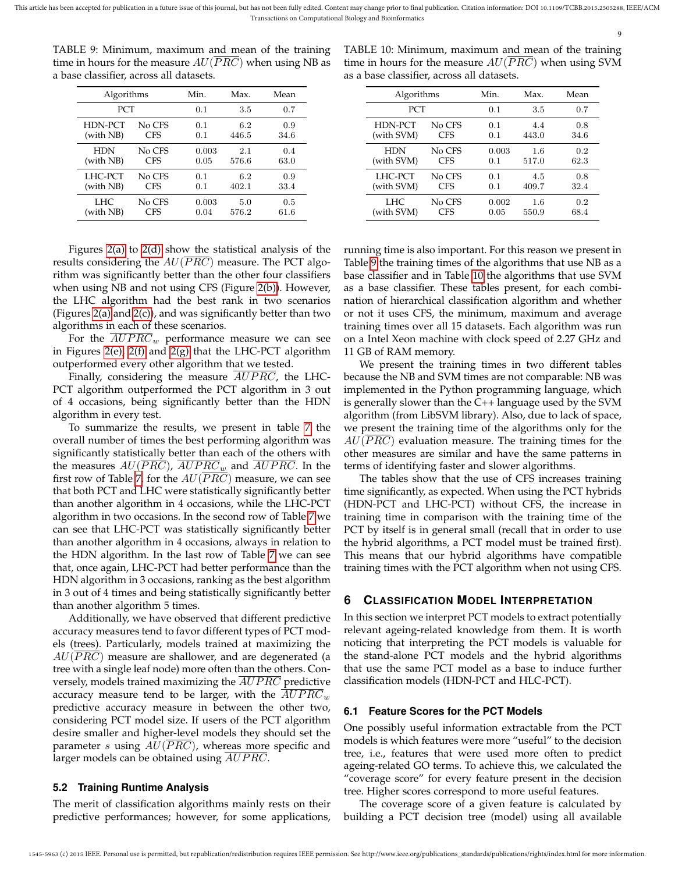TABLE 9: Minimum, maximum and mean of the training time in hours for the measure  $AU(PRC)$  when using NB as a base classifier, across all datasets.

| Algorithms     |            | Min.  | Max.  | Mean |
|----------------|------------|-------|-------|------|
| <b>PCT</b>     |            | 0.1   | 3.5   | 0.7  |
| <b>HDN-PCT</b> | No CFS     | 0.1   | 6.2   | 0.9  |
| (with NB)      | <b>CFS</b> | 0.1   | 446.5 | 34.6 |
| <b>HDN</b>     | No CFS     | 0.003 | 2.1   | 0.4  |
| (with NB)      | <b>CFS</b> | 0.05  | 576.6 | 63.0 |
| LHC-PCT        | No CFS     | 0.1   | 6.2   | 0.9  |
| (with NB)      | <b>CFS</b> | 0.1   | 402.1 | 33.4 |
| LHC.           | No CFS     | 0.003 | 5.0   | 0.5  |
| (with NB)      | <b>CFS</b> | 0.04  | 576.2 | 61.6 |

Figures 2(a) to 2(d) show the statistical analysis of the results considering the  $AU(\overline{PRC})$  measure. The PCT algorithm was significantly better than the other four classifiers when using NB and not using CFS (Figure 2(b)). However, the LHC algorithm had the best rank in two scenarios (Figures 2(a) and 2(c)), and was significantly better than two algorithms in each of these scenarios.

For the  $\overline{AUPRC}_w$  performance measure we can see in Figures 2(e), 2(f) and 2(g) that the LHC-PCT algorithm outperformed every other algorithm that we tested.

Finally, considering the measure  $\overline{AUPRC}$ , the LHC-PCT algorithm outperformed the PCT algorithm in 3 out of 4 occasions, being significantly better than the HDN algorithm in every test.

To summarize the results, we present in table 7 the overall number of times the best performing algorithm was significantly statistically better than each of the others with the measures  $AU(\overline{PRC})$ ,  $\overline{AUPRC}_w$  and  $\overline{AUPRC}$ . In the first row of Table 7, for the  $AU(\overline{PRC})$  measure, we can see that both PCT and LHC were statistically significantly better than another algorithm in 4 occasions, while the LHC-PCT algorithm in two occasions. In the second row of Table 7 we can see that LHC-PCT was statistically significantly better than another algorithm in 4 occasions, always in relation to the HDN algorithm. In the last row of Table 7 we can see that, once again, LHC-PCT had better performance than the HDN algorithm in 3 occasions, ranking as the best algorithm in 3 out of 4 times and being statistically significantly better than another algorithm 5 times.

Additionally, we have observed that different predictive accuracy measures tend to favor different types of PCT models (trees). Particularly, models trained at maximizing the  $AU(\overline{PRC})$  measure are shallower, and are degenerated (a tree with a single leaf node) more often than the others. Conversely, models trained maximizing the  $AUPRC$  predictive accuracy measure tend to be larger, with the  $AUPRC_w$ predictive accuracy measure in between the other two, considering PCT model size. If users of the PCT algorithm desire smaller and higher-level models they should set the parameter s using  $AU(\overline{PRC})$ , whereas more specific and larger models can be obtained using  $AUPRC$ .

#### **5.2 Training Runtime Analysis**

The merit of classification algorithms mainly rests on their predictive performances; however, for some applications,

TABLE 10: Minimum, maximum and mean of the training time in hours for the measure  $AU(PRC)$  when using SVM as a base classifier, across all datasets.

9

| Algorithms     |            | Min.  | Max.    | Mean |
|----------------|------------|-------|---------|------|
| PCT            |            | 0.1   | 3.5     | 0.7  |
| <b>HDN-PCT</b> | No CFS     | 0.1   | 4.4     | 0.8  |
| (with SVM)     | <b>CFS</b> | 0.1   | 443.0   | 34.6 |
| <b>HDN</b>     | No CFS     | 0.003 | 1.6     | 0.2  |
| (with SVM)     | <b>CFS</b> | 0.1   | 517.0   | 62.3 |
| LHC-PCT        | No CFS     | 0.1   | 4.5     | 0.8  |
| (with SVM)     | <b>CFS</b> | 0.1   | 409.7   | 32.4 |
| LHC.           | No CFS     | 0.002 | $1.6\,$ | 0.2  |
| (with SVM)     | <b>CFS</b> | 0.05  | 550.9   | 68.4 |

running time is also important. For this reason we present in Table 9 the training times of the algorithms that use NB as a base classifier and in Table 10 the algorithms that use SVM as a base classifier. These tables present, for each combination of hierarchical classification algorithm and whether or not it uses CFS, the minimum, maximum and average training times over all 15 datasets. Each algorithm was run on a Intel Xeon machine with clock speed of 2.27 GHz and 11 GB of RAM memory.

We present the training times in two different tables because the NB and SVM times are not comparable: NB was implemented in the Python programming language, which is generally slower than the C++ language used by the SVM algorithm (from LibSVM library). Also, due to lack of space, we present the training time of the algorithms only for the  $AU(PRC)$  evaluation measure. The training times for the other measures are similar and have the same patterns in terms of identifying faster and slower algorithms.

The tables show that the use of CFS increases training time significantly, as expected. When using the PCT hybrids (HDN-PCT and LHC-PCT) without CFS, the increase in training time in comparison with the training time of the PCT by itself is in general small (recall that in order to use the hybrid algorithms, a PCT model must be trained first). This means that our hybrid algorithms have compatible training times with the PCT algorithm when not using CFS.

#### **6 CLASSIFICATION MODEL INTERPRETATION**

In this section we interpret PCT models to extract potentially relevant ageing-related knowledge from them. It is worth noticing that interpreting the PCT models is valuable for the stand-alone PCT models and the hybrid algorithms that use the same PCT model as a base to induce further classification models (HDN-PCT and HLC-PCT).

#### **6.1 Feature Scores for the PCT Models**

One possibly useful information extractable from the PCT models is which features were more "useful" to the decision tree, i.e., features that were used more often to predict ageing-related GO terms. To achieve this, we calculated the "coverage score" for every feature present in the decision tree. Higher scores correspond to more useful features.

The coverage score of a given feature is calculated by building a PCT decision tree (model) using all available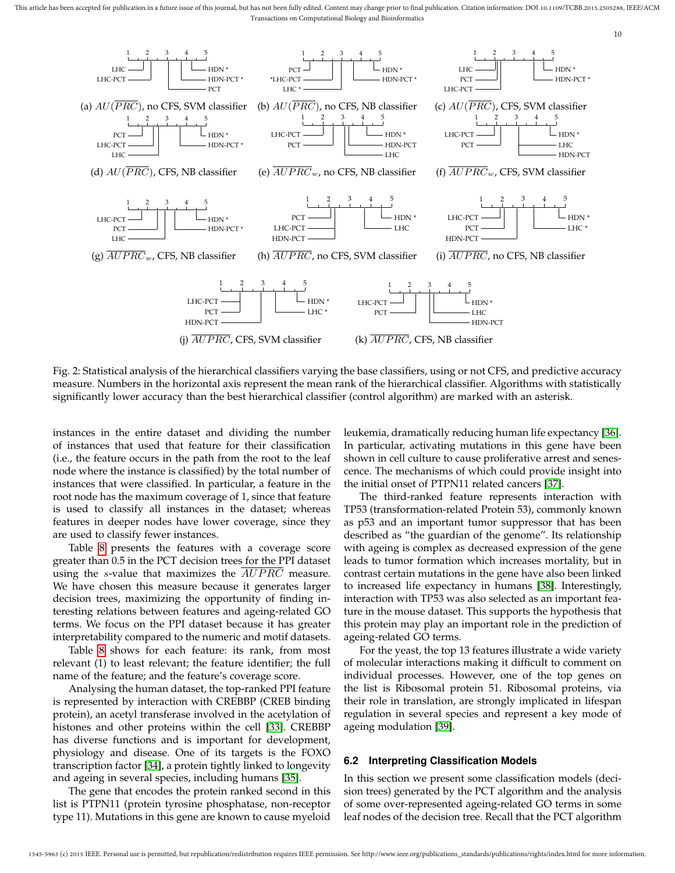

Fig. 2: Statistical analysis of the hierarchical classifiers varying the base classifiers, using or not CFS, and predictive accuracy measure. Numbers in the horizontal axis represent the mean rank of the hierarchical classifier. Algorithms with statistically significantly lower accuracy than the best hierarchical classifier (control algorithm) are marked with an asterisk.

instances in the entire dataset and dividing the number of instances that used that feature for their classification (i.e., the feature occurs in the path from the root to the leaf node where the instance is classified) by the total number of instances that were classified. In particular, a feature in the root node has the maximum coverage of 1, since that feature is used to classify all instances in the dataset; whereas features in deeper nodes have lower coverage, since they are used to classify fewer instances.

Table 8 presents the features with a coverage score greater than 0.5 in the PCT decision trees for the PPI dataset using the s-value that maximizes the  $AUPRC$  measure. We have chosen this measure because it generates larger decision trees, maximizing the opportunity of finding interesting relations between features and ageing-related GO terms. We focus on the PPI dataset because it has greater interpretability compared to the numeric and motif datasets.

Table 8 shows for each feature: its rank, from most relevant (1) to least relevant; the feature identifier; the full name of the feature; and the feature's coverage score.

Analysing the human dataset, the top-ranked PPI feature is represented by interaction with CREBBP (CREB binding protein), an acetyl transferase involved in the acetylation of histones and other proteins within the cell [33]. CREBBP has diverse functions and is important for development, physiology and disease. One of its targets is the FOXO transcription factor [34], a protein tightly linked to longevity and ageing in several species, including humans [35].

The gene that encodes the protein ranked second in this list is PTPN11 (protein tyrosine phosphatase, non-receptor type 11). Mutations in this gene are known to cause myeloid leukemia, dramatically reducing human life expectancy [36]. In particular, activating mutations in this gene have been shown in cell culture to cause proliferative arrest and senescence. The mechanisms of which could provide insight into the initial onset of PTPN11 related cancers [37].

10

The third-ranked feature represents interaction with TP53 (transformation-related Protein 53), commonly known as p53 and an important tumor suppressor that has been described as "the guardian of the genome". Its relationship with ageing is complex as decreased expression of the gene leads to tumor formation which increases mortality, but in contrast certain mutations in the gene have also been linked to increased life expectancy in humans [38]. Interestingly, interaction with TP53 was also selected as an important feature in the mouse dataset. This supports the hypothesis that this protein may play an important role in the prediction of ageing-related GO terms.

For the yeast, the top 13 features illustrate a wide variety of molecular interactions making it difficult to comment on individual processes. However, one of the top genes on the list is Ribosomal protein 51. Ribosomal proteins, via their role in translation, are strongly implicated in lifespan regulation in several species and represent a key mode of ageing modulation [39].

#### **6.2 Interpreting Classification Models**

In this section we present some classification models (decision trees) generated by the PCT algorithm and the analysis of some over-represented ageing-related GO terms in some leaf nodes of the decision tree. Recall that the PCT algorithm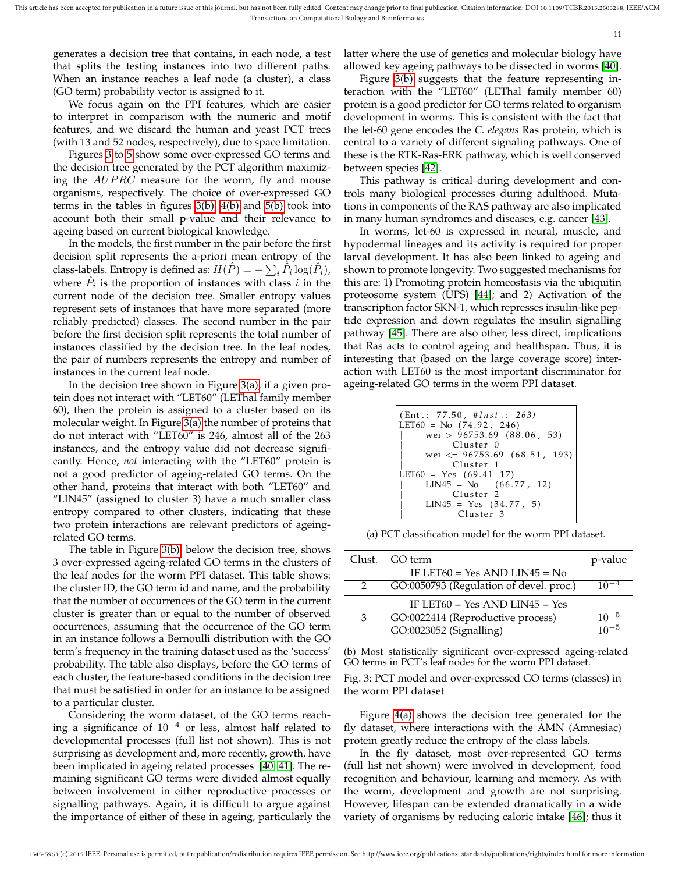generates a decision tree that contains, in each node, a test that splits the testing instances into two different paths. When an instance reaches a leaf node (a cluster), a class (GO term) probability vector is assigned to it.

We focus again on the PPI features, which are easier to interpret in comparison with the numeric and motif features, and we discard the human and yeast PCT trees (with 13 and 52 nodes, respectively), due to space limitation.

Figures 3 to 5 show some over-expressed GO terms and the decision tree generated by the PCT algorithm maximizing the  $\overline{AUPRC}$  measure for the worm, fly and mouse organisms, respectively. The choice of over-expressed GO terms in the tables in figures 3(b), 4(b) and 5(b) took into account both their small p-value and their relevance to ageing based on current biological knowledge.

In the models, the first number in the pair before the first decision split represents the a-priori mean entropy of the class-labels. Entropy is defined as:  $H(\hat{P}) = -\sum_i \tilde{P}_i \log(\hat{P}_i)$ , where  $\hat{P}_i$  is the proportion of instances with class i in the current node of the decision tree. Smaller entropy values represent sets of instances that have more separated (more reliably predicted) classes. The second number in the pair before the first decision split represents the total number of instances classified by the decision tree. In the leaf nodes, the pair of numbers represents the entropy and number of instances in the current leaf node.

In the decision tree shown in Figure 3(a), if a given protein does not interact with "LET60" (LEThal family member 60), then the protein is assigned to a cluster based on its molecular weight. In Figure 3(a) the number of proteins that do not interact with "LET60" is 246, almost all of the 263 instances, and the entropy value did not decrease significantly. Hence, *not* interacting with the "LET60" protein is not a good predictor of ageing-related GO terms. On the other hand, proteins that interact with both "LET60" and "LIN45" (assigned to cluster 3) have a much smaller class entropy compared to other clusters, indicating that these two protein interactions are relevant predictors of ageingrelated GO terms.

The table in Figure 3(b), below the decision tree, shows 3 over-expressed ageing-related GO terms in the clusters of the leaf nodes for the worm PPI dataset. This table shows: the cluster ID, the GO term id and name, and the probability that the number of occurrences of the GO term in the current cluster is greater than or equal to the number of observed occurrences, assuming that the occurrence of the GO term in an instance follows a Bernoulli distribution with the GO term's frequency in the training dataset used as the 'success' probability. The table also displays, before the GO terms of each cluster, the feature-based conditions in the decision tree that must be satisfied in order for an instance to be assigned to a particular cluster.

Considering the worm dataset, of the GO terms reaching a significance of  $10^{-4}$  or less, almost half related to developmental processes (full list not shown). This is not surprising as development and, more recently, growth, have been implicated in ageing related processes [40, 41]. The remaining significant GO terms were divided almost equally between involvement in either reproductive processes or signalling pathways. Again, it is difficult to argue against the importance of either of these in ageing, particularly the

latter where the use of genetics and molecular biology have allowed key ageing pathways to be dissected in worms [40].

Figure 3(b) suggests that the feature representing interaction with the "LET60" (LEThal family member 60) protein is a good predictor for GO terms related to organism development in worms. This is consistent with the fact that the let-60 gene encodes the *C. elegans* Ras protein, which is central to a variety of different signaling pathways. One of these is the RTK-Ras-ERK pathway, which is well conserved between species [42].

This pathway is critical during development and controls many biological processes during adulthood. Mutations in components of the RAS pathway are also implicated in many human syndromes and diseases, e.g. cancer [43].

In worms, let-60 is expressed in neural, muscle, and hypodermal lineages and its activity is required for proper larval development. It has also been linked to ageing and shown to promote longevity. Two suggested mechanisms for this are: 1) Promoting protein homeostasis via the ubiquitin proteosome system (UPS) [44]; and 2) Activation of the transcription factor SKN-1, which represses insulin-like peptide expression and down regulates the insulin signalling pathway [45]. There are also other, less direct, implications that Ras acts to control ageing and healthspan. Thus, it is interesting that (based on the large coverage score) interaction with LET60 is the most important discriminator for ageing-related GO terms in the worm PPI dataset.

( Ent . : 7 7 . 5 0 , *# I n s t . : 2 6 3 )* LET60 = No ( 7 4 . 9 2 , 2 4 6 ) | wei > 9 6 7 5 3. 6 9 ( 8 8 . 0 6 , 5 3 ) | Cl u s t e r 0 | wei <= 9 6 7 5 3. 6 9 ( 6 8 . 5 1 , 1 9 3 ) | Cl u s t e r 1 LET60 = Yes ( 6 9 . 4 1 1 7 ) | LIN45 = No ( 6 6 . 7 7 , 1 2 ) | Cl u s t e r 2 | LIN45 = Yes ( 3 4 . 7 7 , 5 ) | Cl u s t e r 3

(a) PCT classification model for the worm PPI dataset.

|               | Clust. GO term                          | p-value                   |
|---------------|-----------------------------------------|---------------------------|
|               | IF LET $60$ = Yes AND LIN45 = No        |                           |
| $\mathcal{P}$ | GO:0050793 (Regulation of devel. proc.) | $10^{-4}$                 |
|               | IF LET $60 = Yes$ AND LIN $45 = Yes$    |                           |
| 3             | GO:0022414 (Reproductive process)       | $\frac{10^{-5}}{10^{-5}}$ |
|               | GO:0023052 (Signalling)                 |                           |

(b) Most statistically significant over-expressed ageing-related GO terms in PCT's leaf nodes for the worm PPI dataset.

Fig. 3: PCT model and over-expressed GO terms (classes) in the worm PPI dataset

Figure 4(a) shows the decision tree generated for the fly dataset, where interactions with the AMN (Amnesiac) protein greatly reduce the entropy of the class labels.

In the fly dataset, most over-represented GO terms (full list not shown) were involved in development, food recognition and behaviour, learning and memory. As with the worm, development and growth are not surprising. However, lifespan can be extended dramatically in a wide variety of organisms by reducing caloric intake [46]; thus it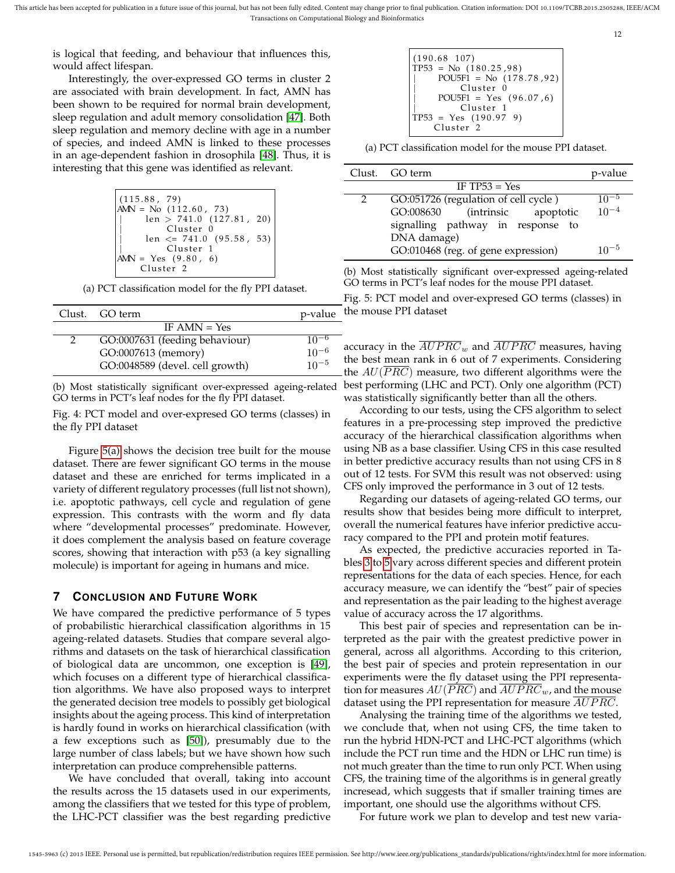is logical that feeding, and behaviour that influences this, would affect lifespan.

Interestingly, the over-expressed GO terms in cluster 2 are associated with brain development. In fact, AMN has been shown to be required for normal brain development, sleep regulation and adult memory consolidation [47]. Both sleep regulation and memory decline with age in a number of species, and indeed AMN is linked to these processes in an age-dependent fashion in drosophila [48]. Thus, it is interesting that this gene was identified as relevant.

| (115.88, 79)                 |
|------------------------------|
| $ AMN = No (112.60, 73)$     |
| len > 741.0 $(127.81, 20)$   |
| Cluster 0                    |
| len $\leq$ 741.0 (95.58, 53) |
| Cluster 1                    |
| $AMN = Yes (9.80, 6)$        |
| Cluster <sub>2</sub>         |

(a) PCT classification model for the fly PPI dataset.

| Clust. GO term                  | p-value   |
|---------------------------------|-----------|
| IF $AMN = Yes$                  |           |
| GO:0007631 (feeding behaviour)  | $10^{-6}$ |
| GO:0007613 (memory)             | $10^{-6}$ |
| GO:0048589 (devel. cell growth) | $10^{-5}$ |

(b) Most statistically significant over-expressed ageing-related GO terms in PCT's leaf nodes for the fly PPI dataset.

Fig. 4: PCT model and over-expresed GO terms (classes) in the fly PPI dataset

Figure 5(a) shows the decision tree built for the mouse dataset. There are fewer significant GO terms in the mouse dataset and these are enriched for terms implicated in a variety of different regulatory processes (full list not shown), i.e. apoptotic pathways, cell cycle and regulation of gene expression. This contrasts with the worm and fly data where "developmental processes" predominate. However, it does complement the analysis based on feature coverage scores, showing that interaction with p53 (a key signalling molecule) is important for ageing in humans and mice.

#### **7 CONCLUSION AND FUTURE WORK**

We have compared the predictive performance of 5 types of probabilistic hierarchical classification algorithms in 15 ageing-related datasets. Studies that compare several algorithms and datasets on the task of hierarchical classification of biological data are uncommon, one exception is [49], which focuses on a different type of hierarchical classification algorithms. We have also proposed ways to interpret the generated decision tree models to possibly get biological insights about the ageing process. This kind of interpretation is hardly found in works on hierarchical classification (with a few exceptions such as [50]), presumably due to the large number of class labels; but we have shown how such interpretation can produce comprehensible patterns.

We have concluded that overall, taking into account the results across the 15 datasets used in our experiments, among the classifiers that we tested for this type of problem, the LHC-PCT classifier was the best regarding predictive

| (190.68 107)               |
|----------------------------|
| $TP53 = No (180.25, 98)$   |
| POU5F1 = No $(178.78, 92)$ |
| Cluster <sub>0</sub>       |
| POU5F1 = $Yes (96.07.6)$   |
| Cluster 1                  |
| $TP53 = Yes (190.97.9)$    |
| Cluster <sub>2</sub>       |

12

(a) PCT classification model for the mouse PPI dataset.

|                                     | Clust. GO term                       | p-value   |  |  |  |
|-------------------------------------|--------------------------------------|-----------|--|--|--|
| IF $TP53 = Yes$                     |                                      |           |  |  |  |
| 2                                   | GO:051726 (regulation of cell cycle) | $10^{-5}$ |  |  |  |
|                                     | GO:008630<br>(intrinsic<br>apoptotic | $10^{-4}$ |  |  |  |
|                                     | signalling pathway in response to    |           |  |  |  |
|                                     | DNA damage)                          |           |  |  |  |
| GO:010468 (reg. of gene expression) |                                      | $10^{-5}$ |  |  |  |

(b) Most statistically significant over-expressed ageing-related GO terms in PCT's leaf nodes for the mouse PPI dataset.

Fig. 5: PCT model and over-expresed GO terms (classes) in the mouse PPI dataset

accuracy in the  $\overline{AUPRC}_w$  and  $\overline{AUPRC}$  measures, having the best mean rank in 6 out of 7 experiments. Considering the  $AU(PRC)$  measure, two different algorithms were the best performing (LHC and PCT). Only one algorithm (PCT) was statistically significantly better than all the others.

According to our tests, using the CFS algorithm to select features in a pre-processing step improved the predictive accuracy of the hierarchical classification algorithms when using NB as a base classifier. Using CFS in this case resulted in better predictive accuracy results than not using CFS in 8 out of 12 tests. For SVM this result was not observed: using CFS only improved the performance in 3 out of 12 tests.

Regarding our datasets of ageing-related GO terms, our results show that besides being more difficult to interpret, overall the numerical features have inferior predictive accuracy compared to the PPI and protein motif features.

As expected, the predictive accuracies reported in Tables 3 to 5 vary across different species and different protein representations for the data of each species. Hence, for each accuracy measure, we can identify the "best" pair of species and representation as the pair leading to the highest average value of accuracy across the 17 algorithms.

This best pair of species and representation can be interpreted as the pair with the greatest predictive power in general, across all algorithms. According to this criterion, the best pair of species and protein representation in our experiments were the fly dataset using the PPI representation for measures  $AU(\overline{PRC})$  and  $\overline{AUPRC}_w$ , and the mouse dataset using the PPI representation for measure  $\overline{AUPRC}$ .

Analysing the training time of the algorithms we tested, we conclude that, when not using CFS, the time taken to run the hybrid HDN-PCT and LHC-PCT algorithms (which include the PCT run time and the HDN or LHC run time) is not much greater than the time to run only PCT. When using CFS, the training time of the algorithms is in general greatly incresead, which suggests that if smaller training times are important, one should use the algorithms without CFS.

For future work we plan to develop and test new varia-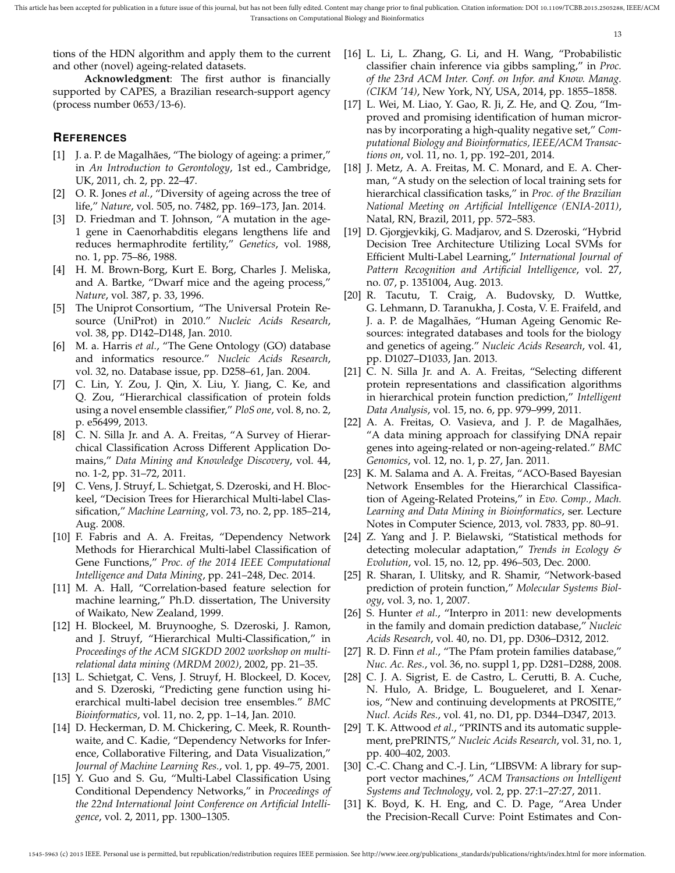tions of the HDN algorithm and apply them to the current and other (novel) ageing-related datasets.

**Acknowledgment**: The first author is financially supported by CAPES, a Brazilian research-support agency (process number 0653/13-6).

#### **REFERENCES**

- [1] J. a. P. de Magalhães, "The biology of ageing: a primer," in *An Introduction to Gerontology*, 1st ed., Cambridge, UK, 2011, ch. 2, pp. 22–47.
- [2] O. R. Jones *et al.*, "Diversity of ageing across the tree of life," *Nature*, vol. 505, no. 7482, pp. 169–173, Jan. 2014.
- [3] D. Friedman and T. Johnson, "A mutation in the age-1 gene in Caenorhabditis elegans lengthens life and reduces hermaphrodite fertility," *Genetics*, vol. 1988, no. 1, pp. 75–86, 1988.
- [4] H. M. Brown-Borg, Kurt E. Borg, Charles J. Meliska, and A. Bartke, "Dwarf mice and the ageing process," *Nature*, vol. 387, p. 33, 1996.
- [5] The Uniprot Consortium, "The Universal Protein Resource (UniProt) in 2010." *Nucleic Acids Research*, vol. 38, pp. D142–D148, Jan. 2010.
- [6] M. a. Harris *et al.*, "The Gene Ontology (GO) database and informatics resource." *Nucleic Acids Research*, vol. 32, no. Database issue, pp. D258–61, Jan. 2004.
- [7] C. Lin, Y. Zou, J. Qin, X. Liu, Y. Jiang, C. Ke, and Q. Zou, "Hierarchical classification of protein folds using a novel ensemble classifier," *PloS one*, vol. 8, no. 2, p. e56499, 2013.
- [8] C. N. Silla Jr. and A. A. Freitas, "A Survey of Hierarchical Classification Across Different Application Domains," *Data Mining and Knowledge Discovery*, vol. 44, no. 1-2, pp. 31–72, 2011.
- [9] C. Vens, J. Struyf, L. Schietgat, S. Dzeroski, and H. Blockeel, "Decision Trees for Hierarchical Multi-label Classification," *Machine Learning*, vol. 73, no. 2, pp. 185–214, Aug. 2008.
- [10] F. Fabris and A. A. Freitas, "Dependency Network Methods for Hierarchical Multi-label Classification of Gene Functions," *Proc. of the 2014 IEEE Computational Intelligence and Data Mining*, pp. 241–248, Dec. 2014.
- [11] M. A. Hall, "Correlation-based feature selection for machine learning," Ph.D. dissertation, The University of Waikato, New Zealand, 1999.
- [12] H. Blockeel, M. Bruynooghe, S. Dzeroski, J. Ramon, and J. Struyf, "Hierarchical Multi-Classification," in *Proceedings of the ACM SIGKDD 2002 workshop on multirelational data mining (MRDM 2002)*, 2002, pp. 21–35.
- [13] L. Schietgat, C. Vens, J. Struyf, H. Blockeel, D. Kocev, and S. Dzeroski, "Predicting gene function using hierarchical multi-label decision tree ensembles." *BMC Bioinformatics*, vol. 11, no. 2, pp. 1–14, Jan. 2010.
- [14] D. Heckerman, D. M. Chickering, C. Meek, R. Rounthwaite, and C. Kadie, "Dependency Networks for Inference, Collaborative Filtering, and Data Visualization," *Journal of Machine Learning Res.*, vol. 1, pp. 49–75, 2001.
- [15] Y. Guo and S. Gu, "Multi-Label Classification Using Conditional Dependency Networks," in *Proceedings of the 22nd International Joint Conference on Artificial Intelligence*, vol. 2, 2011, pp. 1300–1305.

[16] L. Li, L. Zhang, G. Li, and H. Wang, "Probabilistic classifier chain inference via gibbs sampling," in *Proc. of the 23rd ACM Inter. Conf. on Infor. and Know. Manag. (CIKM '14)*, New York, NY, USA, 2014, pp. 1855–1858.

13

- [17] L. Wei, M. Liao, Y. Gao, R. Ji, Z. He, and Q. Zou, "Improved and promising identification of human micrornas by incorporating a high-quality negative set," *Computational Biology and Bioinformatics, IEEE/ACM Transactions on*, vol. 11, no. 1, pp. 192–201, 2014.
- [18] J. Metz, A. A. Freitas, M. C. Monard, and E. A. Cherman, "A study on the selection of local training sets for hierarchical classification tasks," in *Proc. of the Brazilian National Meeting on Artificial Intelligence (ENIA-2011)*, Natal, RN, Brazil, 2011, pp. 572–583.
- [19] D. Gjorgjevkikj, G. Madjarov, and S. Dzeroski, "Hybrid Decision Tree Architecture Utilizing Local SVMs for Efficient Multi-Label Learning," *International Journal of Pattern Recognition and Artificial Intelligence*, vol. 27, no. 07, p. 1351004, Aug. 2013.
- [20] R. Tacutu, T. Craig, A. Budovsky, D. Wuttke, G. Lehmann, D. Taranukha, J. Costa, V. E. Fraifeld, and J. a. P. de Magalhães, "Human Ageing Genomic Resources: integrated databases and tools for the biology and genetics of ageing." *Nucleic Acids Research*, vol. 41, pp. D1027–D1033, Jan. 2013.
- [21] C. N. Silla Jr. and A. A. Freitas, "Selecting different protein representations and classification algorithms in hierarchical protein function prediction," *Intelligent Data Analysis*, vol. 15, no. 6, pp. 979–999, 2011.
- [22] A. A. Freitas, O. Vasieva, and J. P. de Magalhães, "A data mining approach for classifying DNA repair genes into ageing-related or non-ageing-related." *BMC Genomics*, vol. 12, no. 1, p. 27, Jan. 2011.
- [23] K. M. Salama and A. A. Freitas, "ACO-Based Bayesian Network Ensembles for the Hierarchical Classification of Ageing-Related Proteins," in *Evo. Comp., Mach. Learning and Data Mining in Bioinformatics*, ser. Lecture Notes in Computer Science, 2013, vol. 7833, pp. 80–91.
- [24] Z. Yang and J. P. Bielawski, "Statistical methods for detecting molecular adaptation," *Trends in Ecology & Evolution*, vol. 15, no. 12, pp. 496–503, Dec. 2000.
- [25] R. Sharan, I. Ulitsky, and R. Shamir, "Network-based prediction of protein function," *Molecular Systems Biology*, vol. 3, no. 1, 2007.
- [26] S. Hunter *et al.*, "Interpro in 2011: new developments in the family and domain prediction database," *Nucleic Acids Research*, vol. 40, no. D1, pp. D306–D312, 2012.
- [27] R. D. Finn *et al.*, "The Pfam protein families database," *Nuc. Ac. Res.*, vol. 36, no. suppl 1, pp. D281–D288, 2008.
- [28] C. J. A. Sigrist, E. de Castro, L. Cerutti, B. A. Cuche, N. Hulo, A. Bridge, L. Bougueleret, and I. Xenarios, "New and continuing developments at PROSITE," *Nucl. Acids Res.*, vol. 41, no. D1, pp. D344–D347, 2013.
- [29] T. K. Attwood *et al.*, "PRINTS and its automatic supplement, prePRINTS," *Nucleic Acids Research*, vol. 31, no. 1, pp. 400–402, 2003.
- [30] C.-C. Chang and C.-J. Lin, "LIBSVM: A library for support vector machines," *ACM Transactions on Intelligent Systems and Technology*, vol. 2, pp. 27:1–27:27, 2011.
- [31] K. Boyd, K. H. Eng, and C. D. Page, "Area Under the Precision-Recall Curve: Point Estimates and Con-